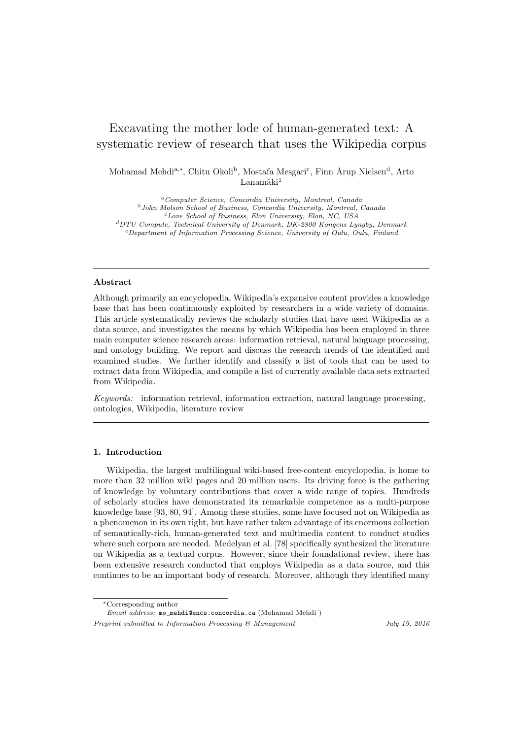# Excavating the mother lode of human-generated text: A systematic review of research that uses the Wikipedia corpus

Mohamad Mehdi<sup>a,\*</sup>, Chitu Okoli<sup>b</sup>, Mostafa Mesgari<sup>c</sup>, Finn Årup Nielsen<sup>d</sup>, Arto  $L$ anamäki $^1$ 

<sup>a</sup>Computer Science, Concordia University, Montreal, Canada  $^{b}$ John Molson School of Business, Concordia University, Montreal, Canada <sup>c</sup>Love School of Business, Elon University, Elon, NC, USA <sup>d</sup>DTU Compute, Technical University of Denmark, DK-2800 Kongens Lyngby, Denmark <sup>e</sup>Department of Information Processing Science, University of Oulu, Oulu, Finland

# Abstract

Although primarily an encyclopedia, Wikipedia's expansive content provides a knowledge base that has been continuously exploited by researchers in a wide variety of domains. This article systematically reviews the scholarly studies that have used Wikipedia as a data source, and investigates the means by which Wikipedia has been employed in three main computer science research areas: information retrieval, natural language processing, and ontology building. We report and discuss the research trends of the identified and examined studies. We further identify and classify a list of tools that can be used to extract data from Wikipedia, and compile a list of currently available data sets extracted from Wikipedia.

Keywords: information retrieval, information extraction, natural language processing, ontologies, Wikipedia, literature review

#### 1. Introduction

Wikipedia, the largest multilingual wiki-based free-content encyclopedia, is home to more than 32 million wiki pages and 20 million users. Its driving force is the gathering of knowledge by voluntary contributions that cover a wide range of topics. Hundreds of scholarly studies have demonstrated its remarkable competence as a multi-purpose knowledge base [\[93,](#page-38-0) [80,](#page-37-0) [94\]](#page-38-1). Among these studies, some have focused not on Wikipedia as a phenomenon in its own right, but have rather taken advantage of its enormous collection of semantically-rich, human-generated text and multimedia content to conduct studies where such corpora are needed. Medelyan et al. [\[78\]](#page-37-1) specifically synthesized the literature on Wikipedia as a textual corpus. However, since their foundational review, there has been extensive research conducted that employs Wikipedia as a data source, and this continues to be an important body of research. Moreover, although they identified many

Email address: mo\_mehdi@encs.concordia.ca (Mohamad Mehdi )

<sup>∗</sup>Corresponding author

Preprint submitted to Information Processing & Management July 19, 2016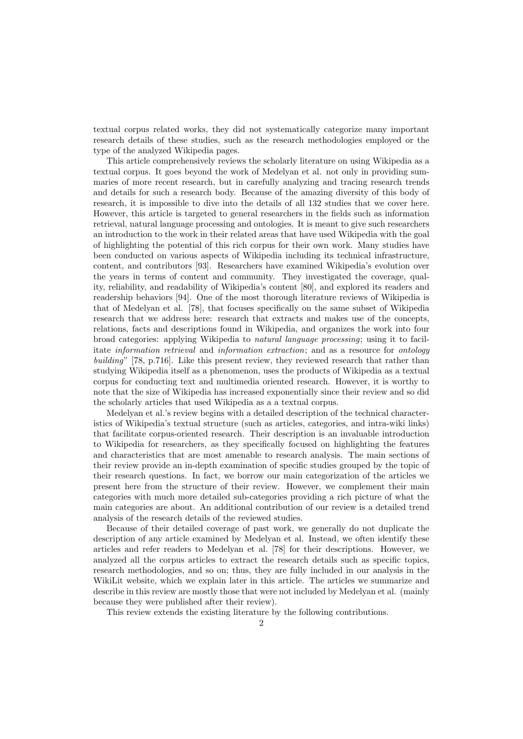textual corpus related works, they did not systematically categorize many important research details of these studies, such as the research methodologies employed or the type of the analyzed Wikipedia pages.

This article comprehensively reviews the scholarly literature on using Wikipedia as a textual corpus. It goes beyond the work of Medelyan et al. not only in providing summaries of more recent research, but in carefully analyzing and tracing research trends and details for such a research body. Because of the amazing diversity of this body of research, it is impossible to dive into the details of all 132 studies that we cover here. However, this article is targeted to general researchers in the fields such as information retrieval, natural language processing and ontologies. It is meant to give such researchers an introduction to the work in their related areas that have used Wikipedia with the goal of highlighting the potential of this rich corpus for their own work. Many studies have been conducted on various aspects of Wikipedia including its technical infrastructure, content, and contributors [\[93\]](#page-38-0). Researchers have examined Wikipedia's evolution over the years in terms of content and community. They investigated the coverage, quality, reliability, and readability of Wikipedia's content [\[80\]](#page-37-0), and explored its readers and readership behaviors [\[94\]](#page-38-1). One of the most thorough literature reviews of Wikipedia is that of Medelyan et al. [\[78\]](#page-37-1), that focuses specifically on the same subset of Wikipedia research that we address here: research that extracts and makes use of the concepts, relations, facts and descriptions found in Wikipedia, and organizes the work into four broad categories: applying Wikipedia to natural language processing; using it to facilitate information retrieval and information extraction; and as a resource for ontology building" [\[78,](#page-37-1) p.716]. Like this present review, they reviewed research that rather than studying Wikipedia itself as a phenomenon, uses the products of Wikipedia as a textual corpus for conducting text and multimedia oriented research. However, it is worthy to note that the size of Wikipedia has increased exponentially since their review and so did the scholarly articles that used Wikipedia as a a textual corpus.

Medelyan et al.'s review begins with a detailed description of the technical characteristics of Wikipedia's textual structure (such as articles, categories, and intra-wiki links) that facilitate corpus-oriented research. Their description is an invaluable introduction to Wikipedia for researchers, as they specifically focused on highlighting the features and characteristics that are most amenable to research analysis. The main sections of their review provide an in-depth examination of specific studies grouped by the topic of their research questions. In fact, we borrow our main categorization of the articles we present here from the structure of their review. However, we complement their main categories with much more detailed sub-categories providing a rich picture of what the main categories are about. An additional contribution of our review is a detailed trend analysis of the research details of the reviewed studies.

Because of their detailed coverage of past work, we generally do not duplicate the description of any article examined by Medelyan et al. Instead, we often identify these articles and refer readers to Medelyan et al. [\[78\]](#page-37-1) for their descriptions. However, we analyzed all the corpus articles to extract the research details such as specific topics, research methodologies, and so on; thus, they are fully included in our analysis in the WikiLit website, which we explain later in this article. The articles we summarize and describe in this review are mostly those that were not included by Medelyan et al. (mainly because they were published after their review).

This review extends the existing literature by the following contributions.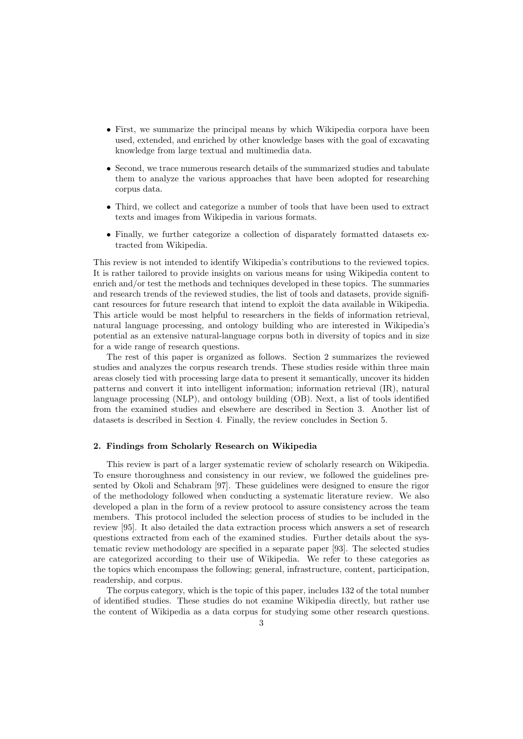- First, we summarize the principal means by which Wikipedia corpora have been used, extended, and enriched by other knowledge bases with the goal of excavating knowledge from large textual and multimedia data.
- Second, we trace numerous research details of the summarized studies and tabulate them to analyze the various approaches that have been adopted for researching corpus data.
- Third, we collect and categorize a number of tools that have been used to extract texts and images from Wikipedia in various formats.
- Finally, we further categorize a collection of disparately formatted datasets extracted from Wikipedia.

This review is not intended to identify Wikipedia's contributions to the reviewed topics. It is rather tailored to provide insights on various means for using Wikipedia content to enrich and/or test the methods and techniques developed in these topics. The summaries and research trends of the reviewed studies, the list of tools and datasets, provide significant resources for future research that intend to exploit the data available in Wikipedia. This article would be most helpful to researchers in the fields of information retrieval, natural language processing, and ontology building who are interested in Wikipedia's potential as an extensive natural-language corpus both in diversity of topics and in size for a wide range of research questions.

The rest of this paper is organized as follows. Section 2 summarizes the reviewed studies and analyzes the corpus research trends. These studies reside within three main areas closely tied with processing large data to present it semantically, uncover its hidden patterns and convert it into intelligent information; information retrieval (IR), natural language processing (NLP), and ontology building (OB). Next, a list of tools identified from the examined studies and elsewhere are described in Section 3. Another list of datasets is described in Section 4. Finally, the review concludes in Section 5.

# 2. Findings from Scholarly Research on Wikipedia

This review is part of a larger systematic review of scholarly research on Wikipedia. To ensure thoroughness and consistency in our review, we followed the guidelines presented by Okoli and Schabram [\[97\]](#page-38-2). These guidelines were designed to ensure the rigor of the methodology followed when conducting a systematic literature review. We also developed a plan in the form of a review protocol to assure consistency across the team members. This protocol included the selection process of studies to be included in the review [\[95\]](#page-38-3). It also detailed the data extraction process which answers a set of research questions extracted from each of the examined studies. Further details about the systematic review methodology are specified in a separate paper [\[93\]](#page-38-0). The selected studies are categorized according to their use of Wikipedia. We refer to these categories as the topics which encompass the following; general, infrastructure, content, participation, readership, and corpus.

The corpus category, which is the topic of this paper, includes 132 of the total number of identified studies. These studies do not examine Wikipedia directly, but rather use the content of Wikipedia as a data corpus for studying some other research questions.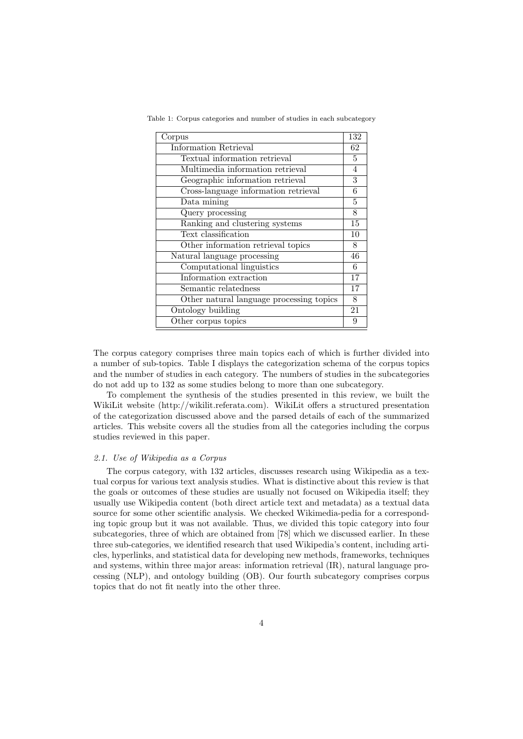| Corpus                                   | 132 |
|------------------------------------------|-----|
| Information Retrieval                    | 62  |
| Textual information retrieval            | 5   |
| Multimedia information retrieval         | 4   |
| Geographic information retrieval         | 3   |
| Cross-language information retrieval     | 6   |
| Data mining                              | 5   |
| Query processing                         | 8   |
| Ranking and clustering systems           | 15  |
| Text classification                      | 10  |
| Other information retrieval topics       | 8   |
| Natural language processing              | 46  |
| Computational linguistics                | 6   |
| Information extraction                   | 17  |
| Semantic relatedness                     | 17  |
| Other natural language processing topics | 8   |
| Ontology building                        | 21  |
| Other corpus topics                      | 9   |

Table 1: Corpus categories and number of studies in each subcategory

The corpus category comprises three main topics each of which is further divided into a number of sub-topics. Table I displays the categorization schema of the corpus topics and the number of studies in each category. The numbers of studies in the subcategories do not add up to 132 as some studies belong to more than one subcategory.

To complement the synthesis of the studies presented in this review, we built the WikiLit website (http://wikilit.referata.com). WikiLit offers a structured presentation of the categorization discussed above and the parsed details of each of the summarized articles. This website covers all the studies from all the categories including the corpus studies reviewed in this paper.

#### 2.1. Use of Wikipedia as a Corpus

The corpus category, with 132 articles, discusses research using Wikipedia as a textual corpus for various text analysis studies. What is distinctive about this review is that the goals or outcomes of these studies are usually not focused on Wikipedia itself; they usually use Wikipedia content (both direct article text and metadata) as a textual data source for some other scientific analysis. We checked Wikimedia-pedia for a corresponding topic group but it was not available. Thus, we divided this topic category into four subcategories, three of which are obtained from [\[78\]](#page-37-1) which we discussed earlier. In these three sub-categories, we identified research that used Wikipedia's content, including articles, hyperlinks, and statistical data for developing new methods, frameworks, techniques and systems, within three major areas: information retrieval (IR), natural language processing (NLP), and ontology building (OB). Our fourth subcategory comprises corpus topics that do not fit neatly into the other three.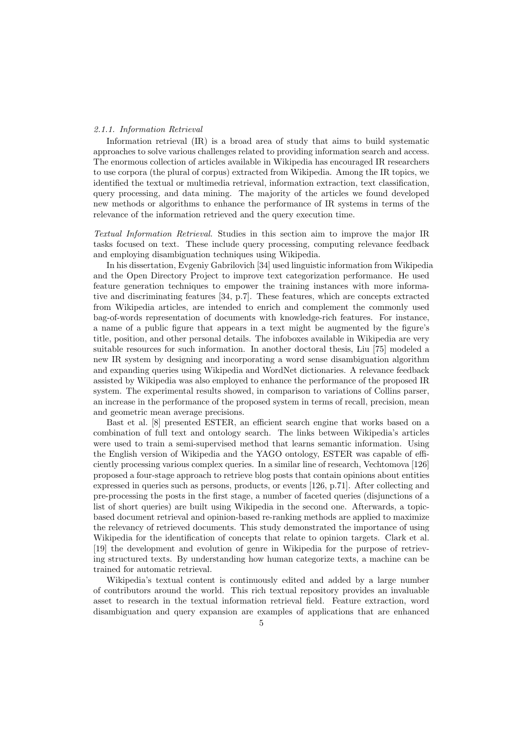#### 2.1.1. Information Retrieval

Information retrieval (IR) is a broad area of study that aims to build systematic approaches to solve various challenges related to providing information search and access. The enormous collection of articles available in Wikipedia has encouraged IR researchers to use corpora (the plural of corpus) extracted from Wikipedia. Among the IR topics, we identified the textual or multimedia retrieval, information extraction, text classification, query processing, and data mining. The majority of the articles we found developed new methods or algorithms to enhance the performance of IR systems in terms of the relevance of the information retrieved and the query execution time.

Textual Information Retrieval. Studies in this section aim to improve the major IR tasks focused on text. These include query processing, computing relevance feedback and employing disambiguation techniques using Wikipedia.

In his dissertation, Evgeniy Gabrilovich [\[34\]](#page-35-0) used linguistic information from Wikipedia and the Open Directory Project to improve text categorization performance. He used feature generation techniques to empower the training instances with more informative and discriminating features [\[34,](#page-35-0) p.7]. These features, which are concepts extracted from Wikipedia articles, are intended to enrich and complement the commonly used bag-of-words representation of documents with knowledge-rich features. For instance, a name of a public figure that appears in a text might be augmented by the figure's title, position, and other personal details. The infoboxes available in Wikipedia are very suitable resources for such information. In another doctoral thesis, Liu [\[75\]](#page-37-2) modeled a new IR system by designing and incorporating a word sense disambiguation algorithm and expanding queries using Wikipedia and WordNet dictionaries. A relevance feedback assisted by Wikipedia was also employed to enhance the performance of the proposed IR system. The experimental results showed, in comparison to variations of Collins parser, an increase in the performance of the proposed system in terms of recall, precision, mean and geometric mean average precisions.

Bast et al. [\[8\]](#page-34-0) presented ESTER, an efficient search engine that works based on a combination of full text and ontology search. The links between Wikipedia's articles were used to train a semi-supervised method that learns semantic information. Using the English version of Wikipedia and the YAGO ontology, ESTER was capable of efficiently processing various complex queries. In a similar line of research, Vechtomova [\[126\]](#page-39-0) proposed a four-stage approach to retrieve blog posts that contain opinions about entities expressed in queries such as persons, products, or events [\[126,](#page-39-0) p.71]. After collecting and pre-processing the posts in the first stage, a number of faceted queries (disjunctions of a list of short queries) are built using Wikipedia in the second one. Afterwards, a topicbased document retrieval and opinion-based re-ranking methods are applied to maximize the relevancy of retrieved documents. This study demonstrated the importance of using Wikipedia for the identification of concepts that relate to opinion targets. Clark et al. [\[19\]](#page-35-1) the development and evolution of genre in Wikipedia for the purpose of retrieving structured texts. By understanding how human categorize texts, a machine can be trained for automatic retrieval.

Wikipedia's textual content is continuously edited and added by a large number of contributors around the world. This rich textual repository provides an invaluable asset to research in the textual information retrieval field. Feature extraction, word disambiguation and query expansion are examples of applications that are enhanced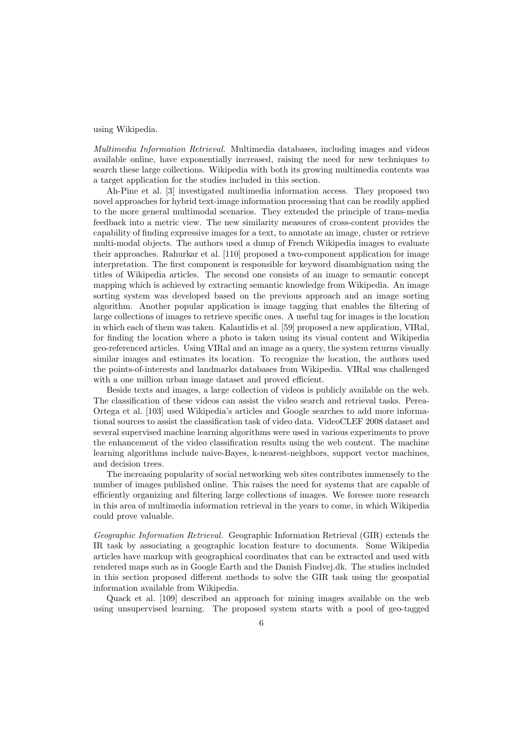# using Wikipedia.

Multimedia Information Retrieval. Multimedia databases, including images and videos available online, have exponentially increased, raising the need for new techniques to search these large collections. Wikipedia with both its growing multimedia contents was a target application for the studies included in this section.

Ah-Pine et al. [\[3\]](#page-34-1) investigated multimedia information access. They proposed two novel approaches for hybrid text-image information processing that can be readily applied to the more general multimodal scenarios. They extended the principle of trans-media feedback into a metric view. The new similarity measures of cross-content provides the capability of finding expressive images for a text, to annotate an image, cluster or retrieve multi-modal objects. The authors used a dump of French Wikipedia images to evaluate their approaches. Rahurkar et al. [\[110\]](#page-39-1) proposed a two-component application for image interpretation. The first component is responsible for keyword disambiguation using the titles of Wikipedia articles. The second one consists of an image to semantic concept mapping which is achieved by extracting semantic knowledge from Wikipedia. An image sorting system was developed based on the previous approach and an image sorting algorithm. Another popular application is image tagging that enables the filtering of large collections of images to retrieve specific ones. A useful tag for images is the location in which each of them was taken. Kalantidis et al. [\[59\]](#page-36-0) proposed a new application, VIRal, for finding the location where a photo is taken using its visual content and Wikipedia geo-referenced articles. Using VIRal and an image as a query, the system returns visually similar images and estimates its location. To recognize the location, the authors used the points-of-interests and landmarks databases from Wikipedia. VIRal was challenged with a one million urban image dataset and proved efficient.

Beside texts and images, a large collection of videos is publicly available on the web. The classification of these videos can assist the video search and retrieval tasks. Perea-Ortega et al. [\[103\]](#page-38-4) used Wikipedia's articles and Google searches to add more informational sources to assist the classification task of video data. VideoCLEF 2008 dataset and several supervised machine learning algorithms were used in various experiments to prove the enhancement of the video classification results using the web content. The machine learning algorithms include naive-Bayes, k-nearest-neighbors, support vector machines, and decision trees.

The increasing popularity of social networking web sites contributes immensely to the number of images published online. This raises the need for systems that are capable of efficiently organizing and filtering large collections of images. We foresee more research in this area of multimedia information retrieval in the years to come, in which Wikipedia could prove valuable.

Geographic Information Retrieval. Geographic Information Retrieval (GIR) extends the IR task by associating a geographic location feature to documents. Some Wikipedia articles have markup with geographical coordinates that can be extracted and used with rendered maps such as in Google Earth and the Danish Findvej.dk. The studies included in this section proposed different methods to solve the GIR task using the geospatial information available from Wikipedia.

Quack et al. [\[109\]](#page-38-5) described an approach for mining images available on the web using unsupervised learning. The proposed system starts with a pool of geo-tagged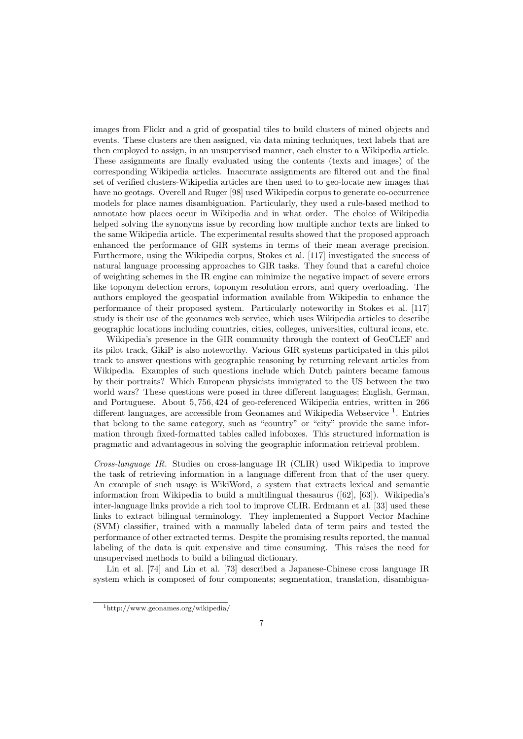images from Flickr and a grid of geospatial tiles to build clusters of mined objects and events. These clusters are then assigned, via data mining techniques, text labels that are then employed to assign, in an unsupervised manner, each cluster to a Wikipedia article. These assignments are finally evaluated using the contents (texts and images) of the corresponding Wikipedia articles. Inaccurate assignments are filtered out and the final set of verified clusters-Wikipedia articles are then used to to geo-locate new images that have no geotags. Overell and Ruger [\[98\]](#page-38-6) used Wikipedia corpus to generate co-occurrence models for place names disambiguation. Particularly, they used a rule-based method to annotate how places occur in Wikipedia and in what order. The choice of Wikipedia helped solving the synonyms issue by recording how multiple anchor texts are linked to the same Wikipedia article. The experimental results showed that the proposed approach enhanced the performance of GIR systems in terms of their mean average precision. Furthermore, using the Wikipedia corpus, Stokes et al. [\[117\]](#page-39-2) investigated the success of natural language processing approaches to GIR tasks. They found that a careful choice of weighting schemes in the IR engine can minimize the negative impact of severe errors like toponym detection errors, toponym resolution errors, and query overloading. The authors employed the geospatial information available from Wikipedia to enhance the performance of their proposed system. Particularly noteworthy in Stokes et al. [\[117\]](#page-39-2) study is their use of the geonames web service, which uses Wikipedia articles to describe geographic locations including countries, cities, colleges, universities, cultural icons, etc.

Wikipedia's presence in the GIR community through the context of GeoCLEF and its pilot track, GikiP is also noteworthy. Various GIR systems participated in this pilot track to answer questions with geographic reasoning by returning relevant articles from Wikipedia. Examples of such questions include which Dutch painters became famous by their portraits? Which European physicists immigrated to the US between the two world wars? These questions were posed in three different languages; English, German, and Portuguese. About 5, 756, 424 of geo-referenced Wikipedia entries, written in 266 different languages, are accessible from Geonames and Wikipedia Webservice<sup>[1](#page-6-0)</sup>. Entries that belong to the same category, such as "country" or "city" provide the same information through fixed-formatted tables called infoboxes. This structured information is pragmatic and advantageous in solving the geographic information retrieval problem.

Cross-language IR. Studies on cross-language IR (CLIR) used Wikipedia to improve the task of retrieving information in a language different from that of the user query. An example of such usage is WikiWord, a system that extracts lexical and semantic information from Wikipedia to build a multilingual thesaurus ([\[62\]](#page-37-3), [\[63\]](#page-37-4)). Wikipedia's inter-language links provide a rich tool to improve CLIR. Erdmann et al. [\[33\]](#page-35-2) used these links to extract bilingual terminology. They implemented a Support Vector Machine (SVM) classifier, trained with a manually labeled data of term pairs and tested the performance of other extracted terms. Despite the promising results reported, the manual labeling of the data is quit expensive and time consuming. This raises the need for unsupervised methods to build a bilingual dictionary.

Lin et al. [\[74\]](#page-37-5) and Lin et al. [\[73\]](#page-37-6) described a Japanese-Chinese cross language IR system which is composed of four components; segmentation, translation, disambigua-

<span id="page-6-0"></span><sup>1</sup>http://www.geonames.org/wikipedia/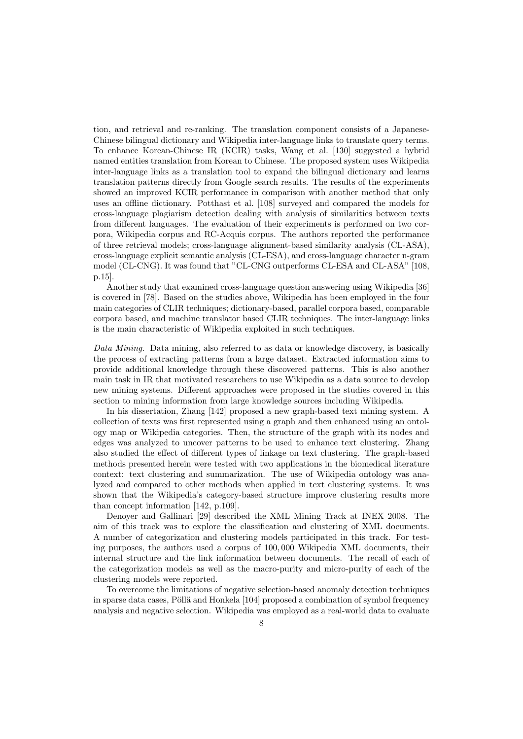tion, and retrieval and re-ranking. The translation component consists of a Japanese-Chinese bilingual dictionary and Wikipedia inter-language links to translate query terms. To enhance Korean-Chinese IR (KCIR) tasks, Wang et al. [\[130\]](#page-39-3) suggested a hybrid named entities translation from Korean to Chinese. The proposed system uses Wikipedia inter-language links as a translation tool to expand the bilingual dictionary and learns translation patterns directly from Google search results. The results of the experiments showed an improved KCIR performance in comparison with another method that only uses an offline dictionary. Potthast et al. [\[108\]](#page-38-7) surveyed and compared the models for cross-language plagiarism detection dealing with analysis of similarities between texts from different languages. The evaluation of their experiments is performed on two corpora, Wikipedia corpus and RC-Acquis corpus. The authors reported the performance of three retrieval models; cross-language alignment-based similarity analysis (CL-ASA), cross-language explicit semantic analysis (CL-ESA), and cross-language character n-gram model (CL-CNG). It was found that "CL-CNG outperforms CL-ESA and CL-ASA" [\[108,](#page-38-7) p.15].

Another study that examined cross-language question answering using Wikipedia [\[36\]](#page-35-3) is covered in [\[78\]](#page-37-1). Based on the studies above, Wikipedia has been employed in the four main categories of CLIR techniques; dictionary-based, parallel corpora based, comparable corpora based, and machine translator based CLIR techniques. The inter-language links is the main characteristic of Wikipedia exploited in such techniques.

Data Mining. Data mining, also referred to as data or knowledge discovery, is basically the process of extracting patterns from a large dataset. Extracted information aims to provide additional knowledge through these discovered patterns. This is also another main task in IR that motivated researchers to use Wikipedia as a data source to develop new mining systems. Different approaches were proposed in the studies covered in this section to mining information from large knowledge sources including Wikipedia.

In his dissertation, Zhang [\[142\]](#page-40-0) proposed a new graph-based text mining system. A collection of texts was first represented using a graph and then enhanced using an ontology map or Wikipedia categories. Then, the structure of the graph with its nodes and edges was analyzed to uncover patterns to be used to enhance text clustering. Zhang also studied the effect of different types of linkage on text clustering. The graph-based methods presented herein were tested with two applications in the biomedical literature context: text clustering and summarization. The use of Wikipedia ontology was analyzed and compared to other methods when applied in text clustering systems. It was shown that the Wikipedia's category-based structure improve clustering results more than concept information [\[142,](#page-40-0) p.109].

Denoyer and Gallinari [\[29\]](#page-35-4) described the XML Mining Track at INEX 2008. The aim of this track was to explore the classification and clustering of XML documents. A number of categorization and clustering models participated in this track. For testing purposes, the authors used a corpus of 100, 000 Wikipedia XML documents, their internal structure and the link information between documents. The recall of each of the categorization models as well as the macro-purity and micro-purity of each of the clustering models were reported.

To overcome the limitations of negative selection-based anomaly detection techniques in sparse data cases, Pöllä and Honkela  $[104]$  proposed a combination of symbol frequency analysis and negative selection. Wikipedia was employed as a real-world data to evaluate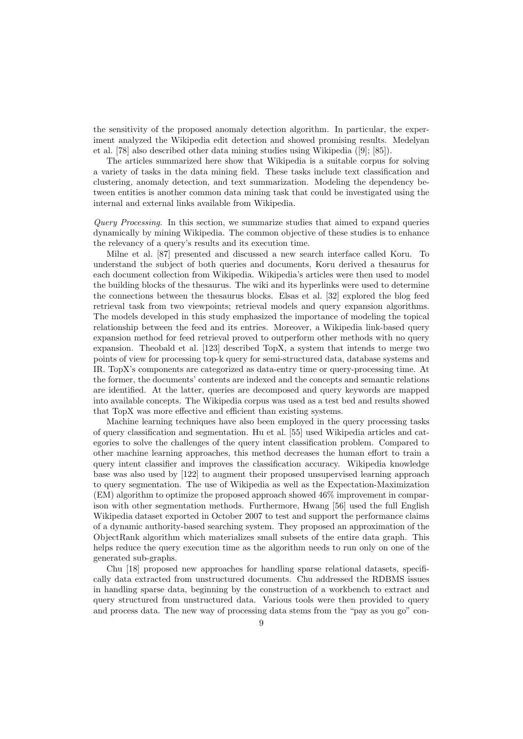the sensitivity of the proposed anomaly detection algorithm. In particular, the experiment analyzed the Wikipedia edit detection and showed promising results. Medelyan et al. [\[78\]](#page-37-1) also described other data mining studies using Wikipedia ([\[9\]](#page-34-2); [\[85\]](#page-37-7)).

The articles summarized here show that Wikipedia is a suitable corpus for solving a variety of tasks in the data mining field. These tasks include text classification and clustering, anomaly detection, and text summarization. Modeling the dependency between entities is another common data mining task that could be investigated using the internal and external links available from Wikipedia.

Query Processing. In this section, we summarize studies that aimed to expand queries dynamically by mining Wikipedia. The common objective of these studies is to enhance the relevancy of a query's results and its execution time.

Milne et al. [\[87\]](#page-38-9) presented and discussed a new search interface called Koru. To understand the subject of both queries and documents, Koru derived a thesaurus for each document collection from Wikipedia. Wikipedia's articles were then used to model the building blocks of the thesaurus. The wiki and its hyperlinks were used to determine the connections between the thesaurus blocks. Elsas et al. [\[32\]](#page-35-5) explored the blog feed retrieval task from two viewpoints; retrieval models and query expansion algorithms. The models developed in this study emphasized the importance of modeling the topical relationship between the feed and its entries. Moreover, a Wikipedia link-based query expansion method for feed retrieval proved to outperform other methods with no query expansion. Theobald et al. [\[123\]](#page-39-4) described TopX, a system that intends to merge two points of view for processing top-k query for semi-structured data, database systems and IR. TopX's components are categorized as data-entry time or query-processing time. At the former, the documents' contents are indexed and the concepts and semantic relations are identified. At the latter, queries are decomposed and query keywords are mapped into available concepts. The Wikipedia corpus was used as a test bed and results showed that TopX was more effective and efficient than existing systems.

Machine learning techniques have also been employed in the query processing tasks of query classification and segmentation. Hu et al. [\[55\]](#page-36-1) used Wikipedia articles and categories to solve the challenges of the query intent classification problem. Compared to other machine learning approaches, this method decreases the human effort to train a query intent classifier and improves the classification accuracy. Wikipedia knowledge base was also used by [\[122\]](#page-39-5) to augment their proposed unsupervised learning approach to query segmentation. The use of Wikipedia as well as the Expectation-Maximization (EM) algorithm to optimize the proposed approach showed 46% improvement in comparison with other segmentation methods. Furthermore, Hwang [\[56\]](#page-36-2) used the full English Wikipedia dataset exported in October 2007 to test and support the performance claims of a dynamic authority-based searching system. They proposed an approximation of the ObjectRank algorithm which materializes small subsets of the entire data graph. This helps reduce the query execution time as the algorithm needs to run only on one of the generated sub-graphs.

Chu [\[18\]](#page-35-6) proposed new approaches for handling sparse relational datasets, specifically data extracted from unstructured documents. Chu addressed the RDBMS issues in handling sparse data, beginning by the construction of a workbench to extract and query structured from unstructured data. Various tools were then provided to query and process data. The new way of processing data stems from the "pay as you go" con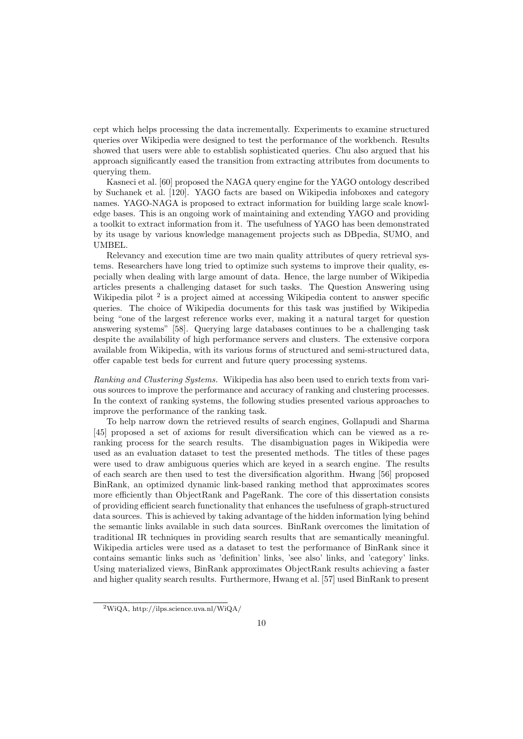cept which helps processing the data incrementally. Experiments to examine structured queries over Wikipedia were designed to test the performance of the workbench. Results showed that users were able to establish sophisticated queries. Chu also argued that his approach significantly eased the transition from extracting attributes from documents to querying them.

Kasneci et al. [\[60\]](#page-36-3) proposed the NAGA query engine for the YAGO ontology described by Suchanek et al. [\[120\]](#page-39-6). YAGO facts are based on Wikipedia infoboxes and category names. YAGO-NAGA is proposed to extract information for building large scale knowledge bases. This is an ongoing work of maintaining and extending YAGO and providing a toolkit to extract information from it. The usefulness of YAGO has been demonstrated by its usage by various knowledge management projects such as DBpedia, SUMO, and UMBEL.

Relevancy and execution time are two main quality attributes of query retrieval systems. Researchers have long tried to optimize such systems to improve their quality, especially when dealing with large amount of data. Hence, the large number of Wikipedia articles presents a challenging dataset for such tasks. The Question Answering using Wikipedia pilot<sup>[2](#page-9-0)</sup> is a project aimed at accessing Wikipedia content to answer specific queries. The choice of Wikipedia documents for this task was justified by Wikipedia being "one of the largest reference works ever, making it a natural target for question answering systems" [\[58\]](#page-36-4). Querying large databases continues to be a challenging task despite the availability of high performance servers and clusters. The extensive corpora available from Wikipedia, with its various forms of structured and semi-structured data, offer capable test beds for current and future query processing systems.

Ranking and Clustering Systems. Wikipedia has also been used to enrich texts from various sources to improve the performance and accuracy of ranking and clustering processes. In the context of ranking systems, the following studies presented various approaches to improve the performance of the ranking task.

To help narrow down the retrieved results of search engines, Gollapudi and Sharma [\[45\]](#page-36-5) proposed a set of axioms for result diversification which can be viewed as a reranking process for the search results. The disambiguation pages in Wikipedia were used as an evaluation dataset to test the presented methods. The titles of these pages were used to draw ambiguous queries which are keyed in a search engine. The results of each search are then used to test the diversification algorithm. Hwang [\[56\]](#page-36-2) proposed BinRank, an optimized dynamic link-based ranking method that approximates scores more efficiently than ObjectRank and PageRank. The core of this dissertation consists of providing efficient search functionality that enhances the usefulness of graph-structured data sources. This is achieved by taking advantage of the hidden information lying behind the semantic links available in such data sources. BinRank overcomes the limitation of traditional IR techniques in providing search results that are semantically meaningful. Wikipedia articles were used as a dataset to test the performance of BinRank since it contains semantic links such as 'definition' links, 'see also' links, and 'category' links. Using materialized views, BinRank approximates ObjectRank results achieving a faster and higher quality search results. Furthermore, Hwang et al. [\[57\]](#page-36-6) used BinRank to present

<span id="page-9-0"></span><sup>2</sup>WiQA, http://ilps.science.uva.nl/WiQA/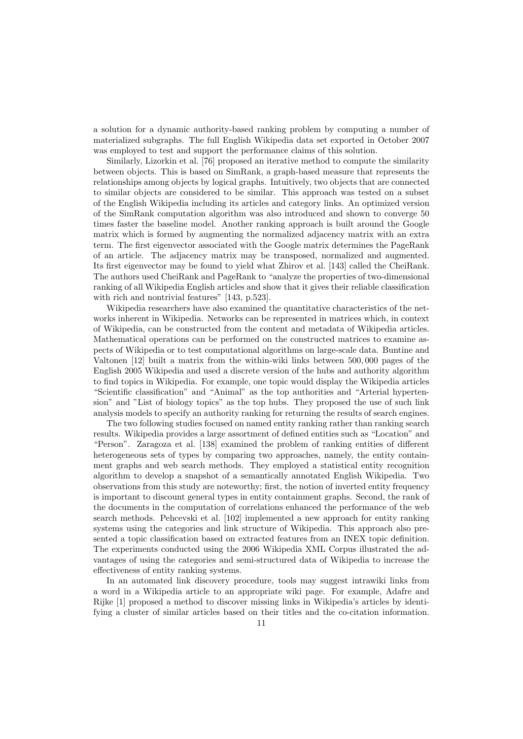a solution for a dynamic authority-based ranking problem by computing a number of materialized subgraphs. The full English Wikipedia data set exported in October 2007 was employed to test and support the performance claims of this solution.

Similarly, Lizorkin et al. [\[76\]](#page-37-8) proposed an iterative method to compute the similarity between objects. This is based on SimRank, a graph-based measure that represents the relationships among objects by logical graphs. Intuitively, two objects that are connected to similar objects are considered to be similar. This approach was tested on a subset of the English Wikipedia including its articles and category links. An optimized version of the SimRank computation algorithm was also introduced and shown to converge 50 times faster the baseline model. Another ranking approach is built around the Google matrix which is formed by augmenting the normalized adjacency matrix with an extra term. The first eigenvector associated with the Google matrix determines the PageRank of an article. The adjacency matrix may be transposed, normalized and augmented. Its first eigenvector may be found to yield what Zhirov et al. [\[143\]](#page-40-1) called the CheiRank. The authors used CheiRank and PageRank to "analyze the properties of two-dimensional ranking of all Wikipedia English articles and show that it gives their reliable classification with rich and nontrivial features" [\[143,](#page-40-1) p.523].

Wikipedia researchers have also examined the quantitative characteristics of the networks inherent in Wikipedia. Networks can be represented in matrices which, in context of Wikipedia, can be constructed from the content and metadata of Wikipedia articles. Mathematical operations can be performed on the constructed matrices to examine aspects of Wikipedia or to test computational algorithms on large-scale data. Buntine and Valtonen [\[12\]](#page-34-3) built a matrix from the within-wiki links between 500, 000 pages of the English 2005 Wikipedia and used a discrete version of the hubs and authority algorithm to find topics in Wikipedia. For example, one topic would display the Wikipedia articles "Scientific classification" and "Animal" as the top authorities and "Arterial hypertension" and "List of biology topics" as the top hubs. They proposed the use of such link analysis models to specify an authority ranking for returning the results of search engines.

The two following studies focused on named entity ranking rather than ranking search results. Wikipedia provides a large assortment of defined entities such as "Location" and "Person". Zaragoza et al. [\[138\]](#page-40-2) examined the problem of ranking entities of different heterogeneous sets of types by comparing two approaches, namely, the entity containment graphs and web search methods. They employed a statistical entity recognition algorithm to develop a snapshot of a semantically annotated English Wikipedia. Two observations from this study are noteworthy; first, the notion of inverted entity frequency is important to discount general types in entity containment graphs. Second, the rank of the documents in the computation of correlations enhanced the performance of the web search methods. Pehcevski et al. [\[102\]](#page-38-10) implemented a new approach for entity ranking systems using the categories and link structure of Wikipedia. This approach also presented a topic classification based on extracted features from an INEX topic definition. The experiments conducted using the 2006 Wikipedia XML Corpus illustrated the advantages of using the categories and semi-structured data of Wikipedia to increase the effectiveness of entity ranking systems.

In an automated link discovery procedure, tools may suggest intrawiki links from a word in a Wikipedia article to an appropriate wiki page. For example, Adafre and Rijke [\[1\]](#page-34-4) proposed a method to discover missing links in Wikipedia's articles by identifying a cluster of similar articles based on their titles and the co-citation information.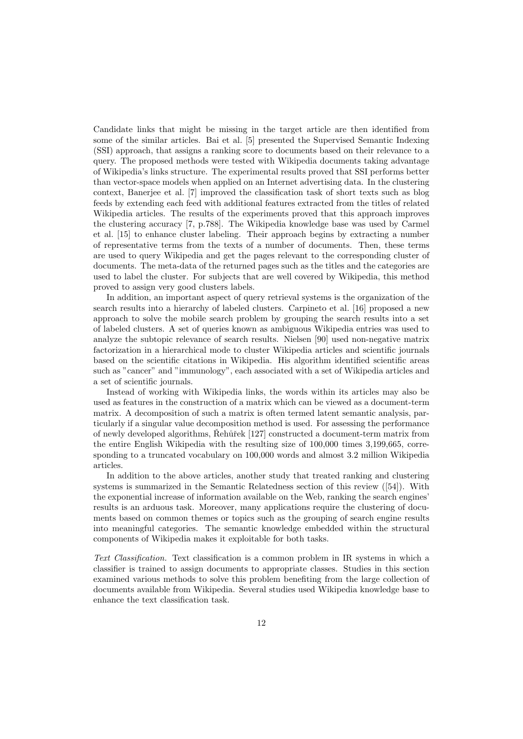Candidate links that might be missing in the target article are then identified from some of the similar articles. Bai et al. [\[5\]](#page-34-5) presented the Supervised Semantic Indexing (SSI) approach, that assigns a ranking score to documents based on their relevance to a query. The proposed methods were tested with Wikipedia documents taking advantage of Wikipedia's links structure. The experimental results proved that SSI performs better than vector-space models when applied on an Internet advertising data. In the clustering context, Banerjee et al. [\[7\]](#page-34-6) improved the classification task of short texts such as blog feeds by extending each feed with additional features extracted from the titles of related Wikipedia articles. The results of the experiments proved that this approach improves the clustering accuracy [\[7,](#page-34-6) p.788]. The Wikipedia knowledge base was used by Carmel et al. [\[15\]](#page-35-7) to enhance cluster labeling. Their approach begins by extracting a number of representative terms from the texts of a number of documents. Then, these terms are used to query Wikipedia and get the pages relevant to the corresponding cluster of documents. The meta-data of the returned pages such as the titles and the categories are used to label the cluster. For subjects that are well covered by Wikipedia, this method proved to assign very good clusters labels.

In addition, an important aspect of query retrieval systems is the organization of the search results into a hierarchy of labeled clusters. Carpineto et al. [\[16\]](#page-35-8) proposed a new approach to solve the mobile search problem by grouping the search results into a set of labeled clusters. A set of queries known as ambiguous Wikipedia entries was used to analyze the subtopic relevance of search results. Nielsen [\[90\]](#page-38-11) used non-negative matrix factorization in a hierarchical mode to cluster Wikipedia articles and scientific journals based on the scientific citations in Wikipedia. His algorithm identified scientific areas such as "cancer" and "immunology", each associated with a set of Wikipedia articles and a set of scientific journals.

Instead of working with Wikipedia links, the words within its articles may also be used as features in the construction of a matrix which can be viewed as a document-term matrix. A decomposition of such a matrix is often termed latent semantic analysis, particularly if a singular value decomposition method is used. For assessing the performance of newly developed algorithms, Rehůřek  $[127]$  constructed a document-term matrix from the entire English Wikipedia with the resulting size of 100,000 times 3,199,665, corresponding to a truncated vocabulary on 100,000 words and almost 3.2 million Wikipedia articles.

In addition to the above articles, another study that treated ranking and clustering systems is summarized in the Semantic Relatedness section of this review ([\[54\]](#page-36-7)). With the exponential increase of information available on the Web, ranking the search engines' results is an arduous task. Moreover, many applications require the clustering of documents based on common themes or topics such as the grouping of search engine results into meaningful categories. The semantic knowledge embedded within the structural components of Wikipedia makes it exploitable for both tasks.

Text Classification. Text classification is a common problem in IR systems in which a classifier is trained to assign documents to appropriate classes. Studies in this section examined various methods to solve this problem benefiting from the large collection of documents available from Wikipedia. Several studies used Wikipedia knowledge base to enhance the text classification task.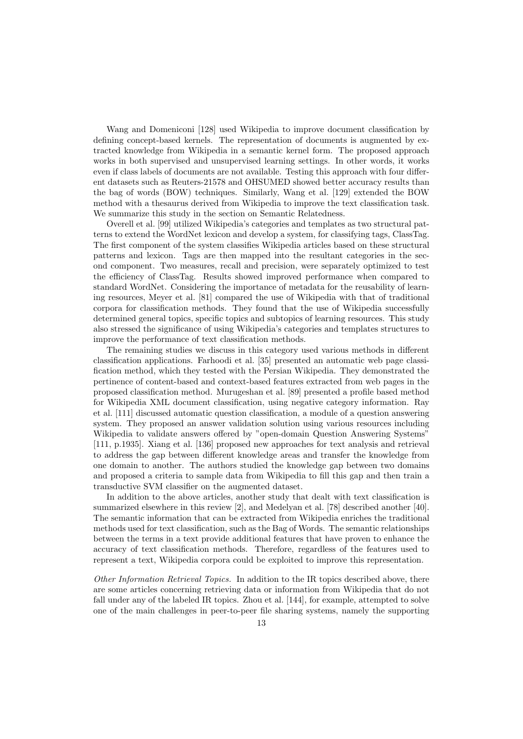Wang and Domeniconi [\[128\]](#page-39-8) used Wikipedia to improve document classification by defining concept-based kernels. The representation of documents is augmented by extracted knowledge from Wikipedia in a semantic kernel form. The proposed approach works in both supervised and unsupervised learning settings. In other words, it works even if class labels of documents are not available. Testing this approach with four different datasets such as Reuters-21578 and OHSUMED showed better accuracy results than the bag of words (BOW) techniques. Similarly, Wang et al. [\[129\]](#page-39-9) extended the BOW method with a thesaurus derived from Wikipedia to improve the text classification task. We summarize this study in the section on Semantic Relatedness.

Overell et al. [\[99\]](#page-38-12) utilized Wikipedia's categories and templates as two structural patterns to extend the WordNet lexicon and develop a system, for classifying tags, ClassTag. The first component of the system classifies Wikipedia articles based on these structural patterns and lexicon. Tags are then mapped into the resultant categories in the second component. Two measures, recall and precision, were separately optimized to test the efficiency of ClassTag. Results showed improved performance when compared to standard WordNet. Considering the importance of metadata for the reusability of learning resources, Meyer et al. [\[81\]](#page-37-9) compared the use of Wikipedia with that of traditional corpora for classification methods. They found that the use of Wikipedia successfully determined general topics, specific topics and subtopics of learning resources. This study also stressed the significance of using Wikipedia's categories and templates structures to improve the performance of text classification methods.

The remaining studies we discuss in this category used various methods in different classification applications. Farhoodi et al. [\[35\]](#page-35-9) presented an automatic web page classification method, which they tested with the Persian Wikipedia. They demonstrated the pertinence of content-based and context-based features extracted from web pages in the proposed classification method. Murugeshan et al. [\[89\]](#page-38-13) presented a profile based method for Wikipedia XML document classification, using negative category information. Ray et al. [\[111\]](#page-39-10) discussed automatic question classification, a module of a question answering system. They proposed an answer validation solution using various resources including Wikipedia to validate answers offered by "open-domain Question Answering Systems" [\[111,](#page-39-10) p.1935]. Xiang et al. [\[136\]](#page-40-3) proposed new approaches for text analysis and retrieval to address the gap between different knowledge areas and transfer the knowledge from one domain to another. The authors studied the knowledge gap between two domains and proposed a criteria to sample data from Wikipedia to fill this gap and then train a transductive SVM classifier on the augmented dataset.

In addition to the above articles, another study that dealt with text classification is summarized elsewhere in this review [\[2\]](#page-34-7), and Medelyan et al. [\[78\]](#page-37-1) described another [\[40\]](#page-36-8). The semantic information that can be extracted from Wikipedia enriches the traditional methods used for text classification, such as the Bag of Words. The semantic relationships between the terms in a text provide additional features that have proven to enhance the accuracy of text classification methods. Therefore, regardless of the features used to represent a text, Wikipedia corpora could be exploited to improve this representation.

Other Information Retrieval Topics. In addition to the IR topics described above, there are some articles concerning retrieving data or information from Wikipedia that do not fall under any of the labeled IR topics. Zhou et al. [\[144\]](#page-40-4), for example, attempted to solve one of the main challenges in peer-to-peer file sharing systems, namely the supporting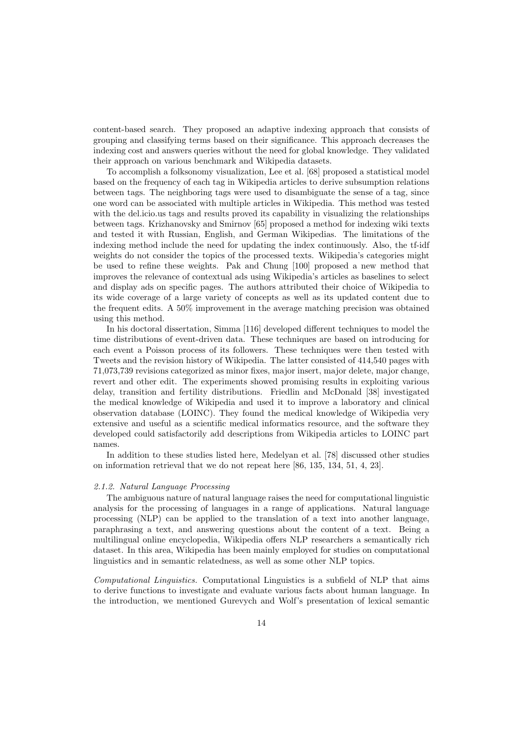content-based search. They proposed an adaptive indexing approach that consists of grouping and classifying terms based on their significance. This approach decreases the indexing cost and answers queries without the need for global knowledge. They validated their approach on various benchmark and Wikipedia datasets.

To accomplish a folksonomy visualization, Lee et al. [\[68\]](#page-37-10) proposed a statistical model based on the frequency of each tag in Wikipedia articles to derive subsumption relations between tags. The neighboring tags were used to disambiguate the sense of a tag, since one word can be associated with multiple articles in Wikipedia. This method was tested with the del.icio.us tags and results proved its capability in visualizing the relationships between tags. Krizhanovsky and Smirnov [\[65\]](#page-37-11) proposed a method for indexing wiki texts and tested it with Russian, English, and German Wikipedias. The limitations of the indexing method include the need for updating the index continuously. Also, the tf-idf weights do not consider the topics of the processed texts. Wikipedia's categories might be used to refine these weights. Pak and Chung [\[100\]](#page-38-14) proposed a new method that improves the relevance of contextual ads using Wikipedia's articles as baselines to select and display ads on specific pages. The authors attributed their choice of Wikipedia to its wide coverage of a large variety of concepts as well as its updated content due to the frequent edits. A 50% improvement in the average matching precision was obtained using this method.

In his doctoral dissertation, Simma [\[116\]](#page-39-11) developed different techniques to model the time distributions of event-driven data. These techniques are based on introducing for each event a Poisson process of its followers. These techniques were then tested with Tweets and the revision history of Wikipedia. The latter consisted of 414,540 pages with 71,073,739 revisions categorized as minor fixes, major insert, major delete, major change, revert and other edit. The experiments showed promising results in exploiting various delay, transition and fertility distributions. Friedlin and McDonald [\[38\]](#page-36-9) investigated the medical knowledge of Wikipedia and used it to improve a laboratory and clinical observation database (LOINC). They found the medical knowledge of Wikipedia very extensive and useful as a scientific medical informatics resource, and the software they developed could satisfactorily add descriptions from Wikipedia articles to LOINC part names.

In addition to these studies listed here, Medelyan et al. [\[78\]](#page-37-1) discussed other studies on information retrieval that we do not repeat here [\[86,](#page-38-15) [135,](#page-40-5) [134,](#page-40-6) [51,](#page-36-10) [4,](#page-34-8) [23\]](#page-35-10).

#### 2.1.2. Natural Language Processing

The ambiguous nature of natural language raises the need for computational linguistic analysis for the processing of languages in a range of applications. Natural language processing (NLP) can be applied to the translation of a text into another language, paraphrasing a text, and answering questions about the content of a text. Being a multilingual online encyclopedia, Wikipedia offers NLP researchers a semantically rich dataset. In this area, Wikipedia has been mainly employed for studies on computational linguistics and in semantic relatedness, as well as some other NLP topics.

Computational Linguistics. Computational Linguistics is a subfield of NLP that aims to derive functions to investigate and evaluate various facts about human language. In the introduction, we mentioned Gurevych and Wolf's presentation of lexical semantic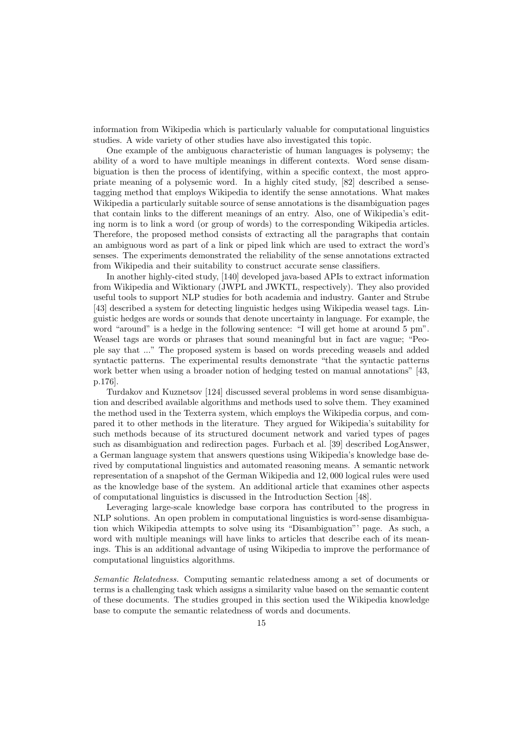information from Wikipedia which is particularly valuable for computational linguistics studies. A wide variety of other studies have also investigated this topic.

One example of the ambiguous characteristic of human languages is polysemy; the ability of a word to have multiple meanings in different contexts. Word sense disambiguation is then the process of identifying, within a specific context, the most appropriate meaning of a polysemic word. In a highly cited study, [\[82\]](#page-37-12) described a sensetagging method that employs Wikipedia to identify the sense annotations. What makes Wikipedia a particularly suitable source of sense annotations is the disambiguation pages that contain links to the different meanings of an entry. Also, one of Wikipedia's editing norm is to link a word (or group of words) to the corresponding Wikipedia articles. Therefore, the proposed method consists of extracting all the paragraphs that contain an ambiguous word as part of a link or piped link which are used to extract the word's senses. The experiments demonstrated the reliability of the sense annotations extracted from Wikipedia and their suitability to construct accurate sense classifiers.

In another highly-cited study, [\[140\]](#page-40-7) developed java-based APIs to extract information from Wikipedia and Wiktionary (JWPL and JWKTL, respectively). They also provided useful tools to support NLP studies for both academia and industry. Ganter and Strube [\[43\]](#page-36-11) described a system for detecting linguistic hedges using Wikipedia weasel tags. Linguistic hedges are words or sounds that denote uncertainty in language. For example, the word "around" is a hedge in the following sentence: "I will get home at around 5 pm". Weasel tags are words or phrases that sound meaningful but in fact are vague; "People say that ..." The proposed system is based on words preceding weasels and added syntactic patterns. The experimental results demonstrate "that the syntactic patterns work better when using a broader notion of hedging tested on manual annotations" [\[43,](#page-36-11) p.176].

Turdakov and Kuznetsov [\[124\]](#page-39-12) discussed several problems in word sense disambiguation and described available algorithms and methods used to solve them. They examined the method used in the Texterra system, which employs the Wikipedia corpus, and compared it to other methods in the literature. They argued for Wikipedia's suitability for such methods because of its structured document network and varied types of pages such as disambiguation and redirection pages. Furbach et al. [\[39\]](#page-36-12) described LogAnswer, a German language system that answers questions using Wikipedia's knowledge base derived by computational linguistics and automated reasoning means. A semantic network representation of a snapshot of the German Wikipedia and 12, 000 logical rules were used as the knowledge base of the system. An additional article that examines other aspects of computational linguistics is discussed in the Introduction Section [\[48\]](#page-36-13).

Leveraging large-scale knowledge base corpora has contributed to the progress in NLP solutions. An open problem in computational linguistics is word-sense disambiguation which Wikipedia attempts to solve using its "Disambiguation"' page. As such, a word with multiple meanings will have links to articles that describe each of its meanings. This is an additional advantage of using Wikipedia to improve the performance of computational linguistics algorithms.

Semantic Relatedness. Computing semantic relatedness among a set of documents or terms is a challenging task which assigns a similarity value based on the semantic content of these documents. The studies grouped in this section used the Wikipedia knowledge base to compute the semantic relatedness of words and documents.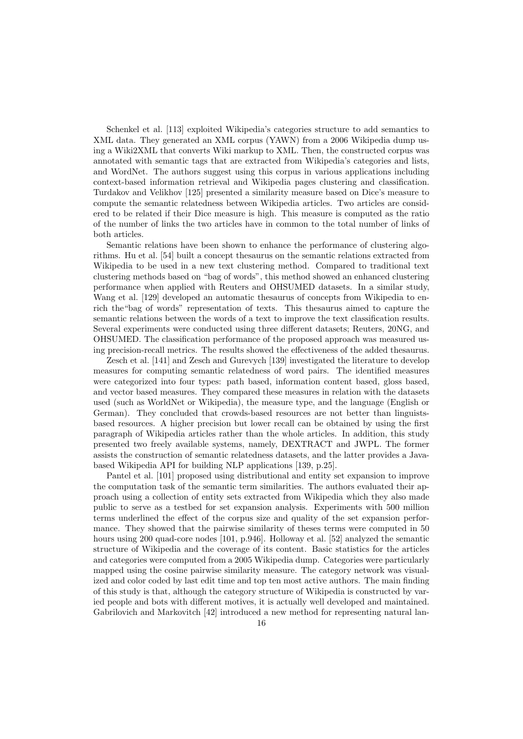Schenkel et al. [\[113\]](#page-39-13) exploited Wikipedia's categories structure to add semantics to XML data. They generated an XML corpus (YAWN) from a 2006 Wikipedia dump using a Wiki2XML that converts Wiki markup to XML. Then, the constructed corpus was annotated with semantic tags that are extracted from Wikipedia's categories and lists, and WordNet. The authors suggest using this corpus in various applications including context-based information retrieval and Wikipedia pages clustering and classification. Turdakov and Velikhov [\[125\]](#page-39-14) presented a similarity measure based on Dice's measure to compute the semantic relatedness between Wikipedia articles. Two articles are considered to be related if their Dice measure is high. This measure is computed as the ratio of the number of links the two articles have in common to the total number of links of both articles.

Semantic relations have been shown to enhance the performance of clustering algorithms. Hu et al. [\[54\]](#page-36-7) built a concept thesaurus on the semantic relations extracted from Wikipedia to be used in a new text clustering method. Compared to traditional text clustering methods based on "bag of words", this method showed an enhanced clustering performance when applied with Reuters and OHSUMED datasets. In a similar study, Wang et al. [\[129\]](#page-39-9) developed an automatic thesaurus of concepts from Wikipedia to enrich the"bag of words" representation of texts. This thesaurus aimed to capture the semantic relations between the words of a text to improve the text classification results. Several experiments were conducted using three different datasets; Reuters, 20NG, and OHSUMED. The classification performance of the proposed approach was measured using precision-recall metrics. The results showed the effectiveness of the added thesaurus.

Zesch et al. [\[141\]](#page-40-8) and Zesch and Gurevych [\[139\]](#page-40-9) investigated the literature to develop measures for computing semantic relatedness of word pairs. The identified measures were categorized into four types: path based, information content based, gloss based, and vector based measures. They compared these measures in relation with the datasets used (such as WorldNet or Wikipedia), the measure type, and the language (English or German). They concluded that crowds-based resources are not better than linguistsbased resources. A higher precision but lower recall can be obtained by using the first paragraph of Wikipedia articles rather than the whole articles. In addition, this study presented two freely available systems, namely, DEXTRACT and JWPL. The former assists the construction of semantic relatedness datasets, and the latter provides a Javabased Wikipedia API for building NLP applications [\[139,](#page-40-9) p.25].

Pantel et al. [\[101\]](#page-38-16) proposed using distributional and entity set expansion to improve the computation task of the semantic term similarities. The authors evaluated their approach using a collection of entity sets extracted from Wikipedia which they also made public to serve as a testbed for set expansion analysis. Experiments with 500 million terms underlined the effect of the corpus size and quality of the set expansion performance. They showed that the pairwise similarity of theses terms were computed in 50 hours using 200 quad-core nodes [\[101,](#page-38-16) p.946]. Holloway et al. [\[52\]](#page-36-14) analyzed the semantic structure of Wikipedia and the coverage of its content. Basic statistics for the articles and categories were computed from a 2005 Wikipedia dump. Categories were particularly mapped using the cosine pairwise similarity measure. The category network was visualized and color coded by last edit time and top ten most active authors. The main finding of this study is that, although the category structure of Wikipedia is constructed by varied people and bots with different motives, it is actually well developed and maintained. Gabrilovich and Markovitch [\[42\]](#page-36-15) introduced a new method for representing natural lan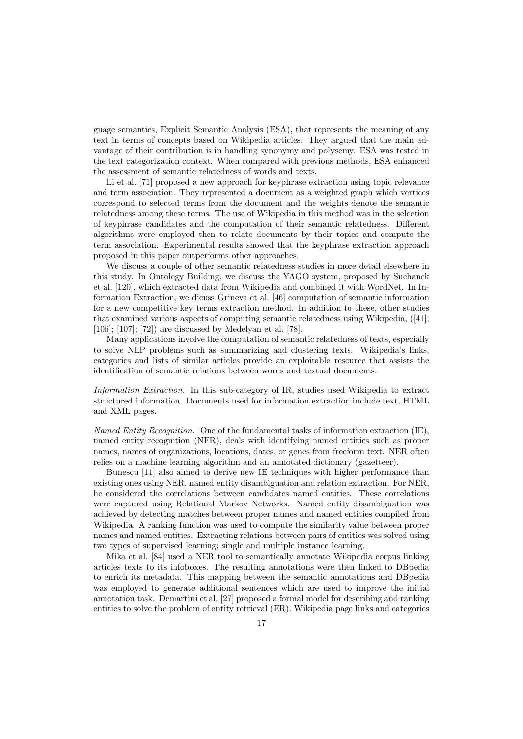guage semantics, Explicit Semantic Analysis (ESA), that represents the meaning of any text in terms of concepts based on Wikipedia articles. They argued that the main advantage of their contribution is in handling synonymy and polysemy. ESA was tested in the text categorization context. When compared with previous methods, ESA enhanced the assessment of semantic relatedness of words and texts.

Li et al. [\[71\]](#page-37-13) proposed a new approach for keyphrase extraction using topic relevance and term association. They represented a document as a weighted graph which vertices correspond to selected terms from the document and the weights denote the semantic relatedness among these terms. The use of Wikipedia in this method was in the selection of keyphrase candidates and the computation of their semantic relatedness. Different algorithms were employed then to relate documents by their topics and compute the term association. Experimental results showed that the keyphrase extraction approach proposed in this paper outperforms other approaches.

We discuss a couple of other semantic relatedness studies in more detail elsewhere in this study. In Ontology Building, we discuss the YAGO system, proposed by Suchanek et al. [\[120\]](#page-39-6), which extracted data from Wikipedia and combined it with WordNet. In Information Extraction, we dicuss Grineva et al. [\[46\]](#page-36-16) computation of semantic information for a new competitive key terms extraction method. In addition to these, other studies that examined various aspects of computing semantic relatedness using Wikipedia, ([\[41\]](#page-36-17); [\[106\]](#page-38-17); [\[107\]](#page-38-18); [\[72\]](#page-37-14)) are discussed by Medelyan et al. [\[78\]](#page-37-1).

Many applications involve the computation of semantic relatedness of texts, especially to solve NLP problems such as summarizing and clustering texts. Wikipedia's links, categories and lists of similar articles provide an exploitable resource that assists the identification of semantic relations between words and textual documents.

Information Extraction. In this sub-category of IR, studies used Wikipedia to extract structured information. Documents used for information extraction include text, HTML and XML pages.

Named Entity Recognition. One of the fundamental tasks of information extraction (IE), named entity recognition (NER), deals with identifying named entities such as proper names, names of organizations, locations, dates, or genes from freeform text. NER often relies on a machine learning algorithm and an annotated dictionary (gazetteer).

Bunescu [\[11\]](#page-34-9) also aimed to derive new IE techniques with higher performance than existing ones using NER, named entity disambiguation and relation extraction. For NER, he considered the correlations between candidates named entities. These correlations were captured using Relational Markov Networks. Named entity disambiguation was achieved by detecting matches between proper names and named entities compiled from Wikipedia. A ranking function was used to compute the similarity value between proper names and named entities. Extracting relations between pairs of entities was solved using two types of supervised learning; single and multiple instance learning.

Mika et al. [\[84\]](#page-37-15) used a NER tool to semantically annotate Wikipedia corpus linking articles texts to its infoboxes. The resulting annotations were then linked to DBpedia to enrich its metadata. This mapping between the semantic annotations and DBpedia was employed to generate additional sentences which are used to improve the initial annotation task. Demartini et al. [\[27\]](#page-35-11) proposed a formal model for describing and ranking entities to solve the problem of entity retrieval (ER). Wikipedia page links and categories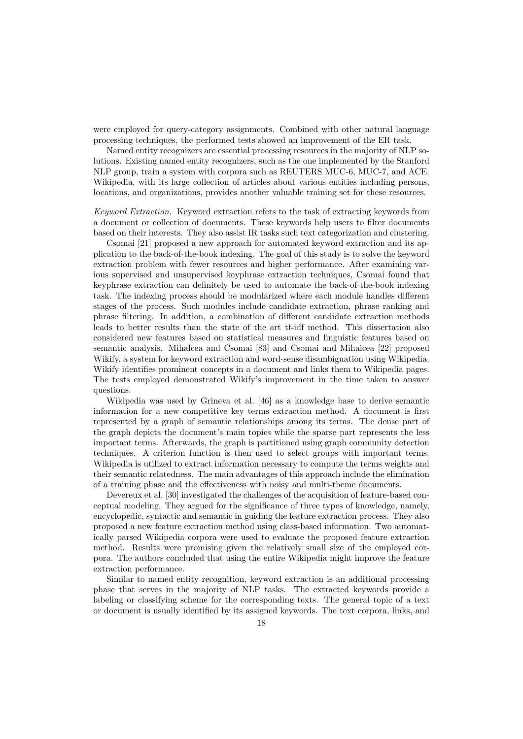were employed for query-category assignments. Combined with other natural language processing techniques, the performed tests showed an improvement of the ER task.

Named entity recognizers are essential processing resources in the majority of NLP solutions. Existing named entity recognizers, such as the one implemented by the Stanford NLP group, train a system with corpora such as REUTERS MUC-6, MUC-7, and ACE. Wikipedia, with its large collection of articles about various entities including persons, locations, and organizations, provides another valuable training set for these resources.

Keyword Extraction. Keyword extraction refers to the task of extracting keywords from a document or collection of documents. These keywords help users to filter documents based on their interests. They also assist IR tasks such text categorization and clustering.

Csomai [\[21\]](#page-35-12) proposed a new approach for automated keyword extraction and its application to the back-of-the-book indexing. The goal of this study is to solve the keyword extraction problem with fewer resources and higher performance. After examining various supervised and unsupervised keyphrase extraction techniques, Csomai found that keyphrase extraction can definitely be used to automate the back-of-the-book indexing task. The indexing process should be modularized where each module handles different stages of the process. Such modules include candidate extraction, phrase ranking and phrase filtering. In addition, a combination of different candidate extraction methods leads to better results than the state of the art tf-idf method. This dissertation also considered new features based on statistical measures and linguistic features based on semantic analysis. Mihalcea and Csomai [\[83\]](#page-37-16) and Csomai and Mihalcea [\[22\]](#page-35-13) proposed Wikify, a system for keyword extraction and word-sense disambiguation using Wikipedia. Wikify identifies prominent concepts in a document and links them to Wikipedia pages. The tests employed demonstrated Wikify's improvement in the time taken to answer questions.

Wikipedia was used by Grineva et al. [\[46\]](#page-36-16) as a knowledge base to derive semantic information for a new competitive key terms extraction method. A document is first represented by a graph of semantic relationships among its terms. The dense part of the graph depicts the document's main topics while the sparse part represents the less important terms. Afterwards, the graph is partitioned using graph community detection techniques. A criterion function is then used to select groups with important terms. Wikipedia is utilized to extract information necessary to compute the terms weights and their semantic relatedness. The main advantages of this approach include the elimination of a training phase and the effectiveness with noisy and multi-theme documents.

Devereux et al. [\[30\]](#page-35-14) investigated the challenges of the acquisition of feature-based conceptual modeling. They argued for the significance of three types of knowledge, namely, encyclopedic, syntactic and semantic in guiding the feature extraction process. They also proposed a new feature extraction method using class-based information. Two automatically parsed Wikipedia corpora were used to evaluate the proposed feature extraction method. Results were promising given the relatively small size of the employed corpora. The authors concluded that using the entire Wikipedia might improve the feature extraction performance.

Similar to named entity recognition, keyword extraction is an additional processing phase that serves in the majority of NLP tasks. The extracted keywords provide a labeling or classifying scheme for the corresponding texts. The general topic of a text or document is usually identified by its assigned keywords. The text corpora, links, and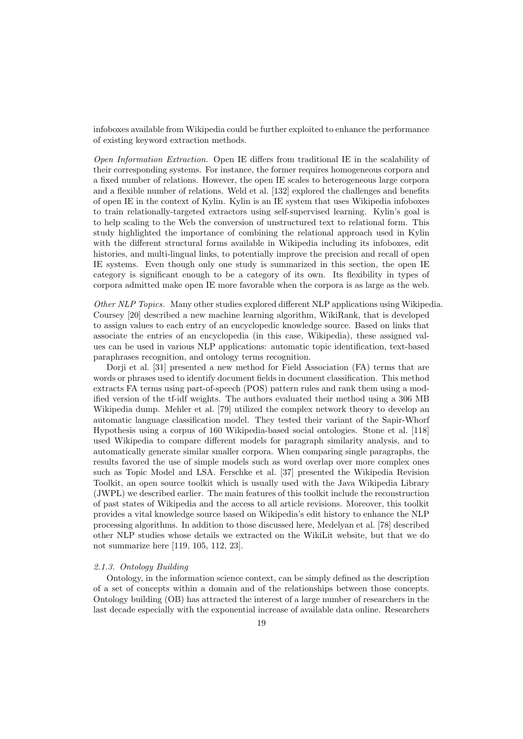infoboxes available from Wikipedia could be further exploited to enhance the performance of existing keyword extraction methods.

Open Information Extraction. Open IE differs from traditional IE in the scalability of their corresponding systems. For instance, the former requires homogeneous corpora and a fixed number of relations. However, the open IE scales to heterogeneous large corpora and a flexible number of relations. Weld et al. [\[132\]](#page-39-15) explored the challenges and benefits of open IE in the context of Kylin. Kylin is an IE system that uses Wikipedia infoboxes to train relationally-targeted extractors using self-supervised learning. Kylin's goal is to help scaling to the Web the conversion of unstructured text to relational form. This study highlighted the importance of combining the relational approach used in Kylin with the different structural forms available in Wikipedia including its infoboxes, edit histories, and multi-lingual links, to potentially improve the precision and recall of open IE systems. Even though only one study is summarized in this section, the open IE category is significant enough to be a category of its own. Its flexibility in types of corpora admitted make open IE more favorable when the corpora is as large as the web.

Other NLP Topics. Many other studies explored different NLP applications using Wikipedia. Coursey [\[20\]](#page-35-15) described a new machine learning algorithm, WikiRank, that is developed to assign values to each entry of an encyclopedic knowledge source. Based on links that associate the entries of an encyclopedia (in this case, Wikipedia), these assigned values can be used in various NLP applications: automatic topic identification, text-based paraphrases recognition, and ontology terms recognition.

Dorji et al. [\[31\]](#page-35-16) presented a new method for Field Association (FA) terms that are words or phrases used to identify document fields in document classification. This method extracts FA terms using part-of-speech (POS) pattern rules and rank them using a modified version of the tf-idf weights. The authors evaluated their method using a 306 MB Wikipedia dump. Mehler et al. [\[79\]](#page-37-17) utilized the complex network theory to develop an automatic language classification model. They tested their variant of the Sapir-Whorf Hypothesis using a corpus of 160 Wikipedia-based social ontologies. Stone et al. [\[118\]](#page-39-16) used Wikipedia to compare different models for paragraph similarity analysis, and to automatically generate similar smaller corpora. When comparing single paragraphs, the results favored the use of simple models such as word overlap over more complex ones such as Topic Model and LSA. Ferschke et al. [\[37\]](#page-35-17) presented the Wikipedia Revision Toolkit, an open source toolkit which is usually used with the Java Wikipedia Library (JWPL) we described earlier. The main features of this toolkit include the reconstruction of past states of Wikipedia and the access to all article revisions. Moreover, this toolkit provides a vital knowledge source based on Wikipedia's edit history to enhance the NLP processing algorithms. In addition to those discussed here, Medelyan et al. [\[78\]](#page-37-1) described other NLP studies whose details we extracted on the WikiLit website, but that we do not summarize here [\[119,](#page-39-17) [105,](#page-38-19) [112,](#page-39-18) [23\]](#page-35-10).

# 2.1.3. Ontology Building

Ontology, in the information science context, can be simply defined as the description of a set of concepts within a domain and of the relationships between those concepts. Ontology building (OB) has attracted the interest of a large number of researchers in the last decade especially with the exponential increase of available data online. Researchers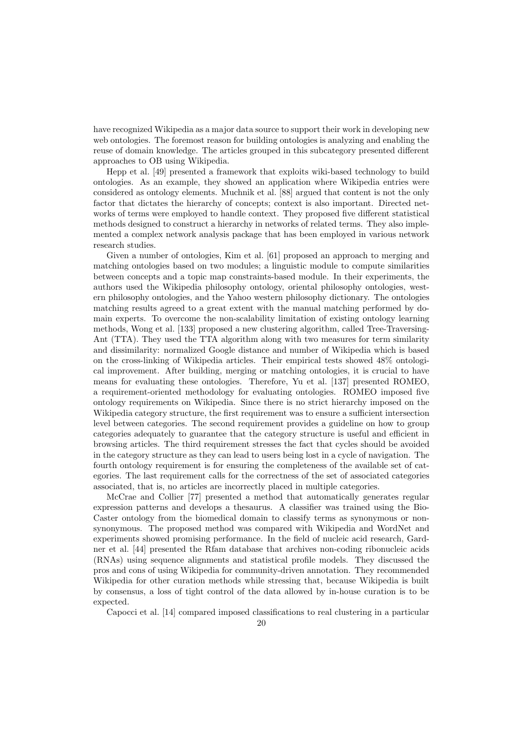have recognized Wikipedia as a major data source to support their work in developing new web ontologies. The foremost reason for building ontologies is analyzing and enabling the reuse of domain knowledge. The articles grouped in this subcategory presented different approaches to OB using Wikipedia.

Hepp et al. [\[49\]](#page-36-18) presented a framework that exploits wiki-based technology to build ontologies. As an example, they showed an application where Wikipedia entries were considered as ontology elements. Muchnik et al. [\[88\]](#page-38-20) argued that content is not the only factor that dictates the hierarchy of concepts; context is also important. Directed networks of terms were employed to handle context. They proposed five different statistical methods designed to construct a hierarchy in networks of related terms. They also implemented a complex network analysis package that has been employed in various network research studies.

Given a number of ontologies, Kim et al. [\[61\]](#page-37-18) proposed an approach to merging and matching ontologies based on two modules; a linguistic module to compute similarities between concepts and a topic map constraints-based module. In their experiments, the authors used the Wikipedia philosophy ontology, oriental philosophy ontologies, western philosophy ontologies, and the Yahoo western philosophy dictionary. The ontologies matching results agreed to a great extent with the manual matching performed by domain experts. To overcome the non-scalability limitation of existing ontology learning methods, Wong et al. [\[133\]](#page-40-10) proposed a new clustering algorithm, called Tree-Traversing-Ant (TTA). They used the TTA algorithm along with two measures for term similarity and dissimilarity: normalized Google distance and number of Wikipedia which is based on the cross-linking of Wikipedia articles. Their empirical tests showed 48% ontological improvement. After building, merging or matching ontologies, it is crucial to have means for evaluating these ontologies. Therefore, Yu et al. [\[137\]](#page-40-11) presented ROMEO, a requirement-oriented methodology for evaluating ontologies. ROMEO imposed five ontology requirements on Wikipedia. Since there is no strict hierarchy imposed on the Wikipedia category structure, the first requirement was to ensure a sufficient intersection level between categories. The second requirement provides a guideline on how to group categories adequately to guarantee that the category structure is useful and efficient in browsing articles. The third requirement stresses the fact that cycles should be avoided in the category structure as they can lead to users being lost in a cycle of navigation. The fourth ontology requirement is for ensuring the completeness of the available set of categories. The last requirement calls for the correctness of the set of associated categories associated, that is, no articles are incorrectly placed in multiple categories.

McCrae and Collier [\[77\]](#page-37-19) presented a method that automatically generates regular expression patterns and develops a thesaurus. A classifier was trained using the Bio-Caster ontology from the biomedical domain to classify terms as synonymous or nonsynonymous. The proposed method was compared with Wikipedia and WordNet and experiments showed promising performance. In the field of nucleic acid research, Gardner et al. [\[44\]](#page-36-19) presented the Rfam database that archives non-coding ribonucleic acids (RNAs) using sequence alignments and statistical profile models. They discussed the pros and cons of using Wikipedia for community-driven annotation. They recommended Wikipedia for other curation methods while stressing that, because Wikipedia is built by consensus, a loss of tight control of the data allowed by in-house curation is to be expected.

Capocci et al. [\[14\]](#page-34-10) compared imposed classifications to real clustering in a particular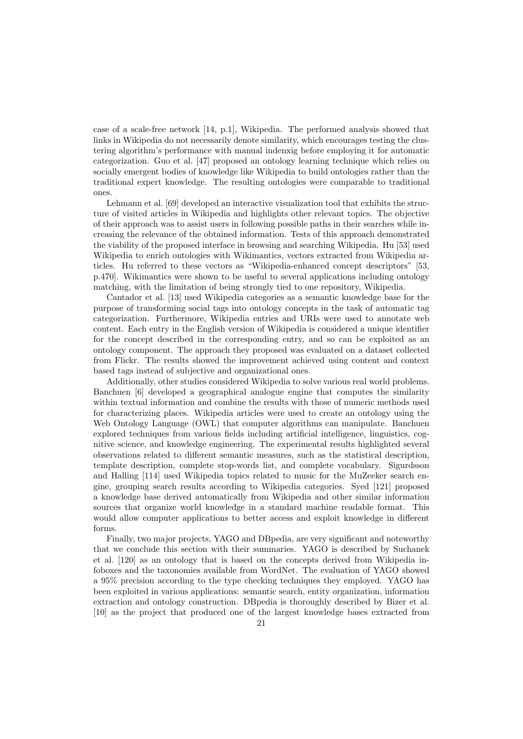case of a scale-free network [\[14,](#page-34-10) p.1], Wikipedia. The performed analysis showed that links in Wikipedia do not necessarily denote similarity, which encourages testing the clustering algorithm's performance with manual indenxig before employing it for automatic categorization. Guo et al. [\[47\]](#page-36-20) proposed an ontology learning technique which relies on socially emergent bodies of knowledge like Wikipedia to build ontologies rather than the traditional expert knowledge. The resulting ontologies were comparable to traditional ones.

Lehmann et al. [\[69\]](#page-37-20) developed an interactive visualization tool that exhibits the structure of visited articles in Wikipedia and highlights other relevant topics. The objective of their approach was to assist users in following possible paths in their searches while increasing the relevance of the obtained information. Tests of this approach demonstrated the viability of the proposed interface in browsing and searching Wikipedia. Hu [\[53\]](#page-36-21) used Wikipedia to enrich ontologies with Wikimantics, vectors extracted from Wikipedia articles. Hu referred to these vectors as "Wikipedia-enhanced concept descriptors" [\[53,](#page-36-21) p.470]. Wikimantics were shown to be useful to several applications including ontology matching, with the limitation of being strongly tied to one repository, Wikipedia.

Cantador et al. [\[13\]](#page-34-11) used Wikipedia categories as a semantic knowledge base for the purpose of transforming social tags into ontology concepts in the task of automatic tag categorization. Furthermore, Wikipedia entries and URIs were used to annotate web content. Each entry in the English version of Wikipedia is considered a unique identifier for the concept described in the corresponding entry, and so can be exploited as an ontology component. The approach they proposed was evaluated on a dataset collected from Flickr. The results showed the improvement achieved using content and context based tags instead of subjective and organizational ones.

Additionally, other studies considered Wikipedia to solve various real world problems. Banchuen [\[6\]](#page-34-12) developed a geographical analogue engine that computes the similarity within textual information and combine the results with those of numeric methods used for characterizing places. Wikipedia articles were used to create an ontology using the Web Ontology Language (OWL) that computer algorithms can manipulate. Banchuen explored techniques from various fields including artificial intelligence, linguistics, cognitive science, and knowledge engineering. The experimental results highlighted several observations related to different semantic measures, such as the statistical description, template description, complete stop-words list, and complete vocabulary. Sigurdsson and Halling [\[114\]](#page-39-19) used Wikipedia topics related to music for the MuZeeker search engine, grouping search results according to Wikipedia categories. Syed [\[121\]](#page-39-20) proposed a knowledge base derived automatically from Wikipedia and other similar information sources that organize world knowledge in a standard machine readable format. This would allow computer applications to better access and exploit knowledge in different forms.

Finally, two major projects, YAGO and DBpedia, are very significant and noteworthy that we conclude this section with their summaries. YAGO is described by Suchanek et al. [\[120\]](#page-39-6) as an ontology that is based on the concepts derived from Wikipedia infoboxes and the taxonomies available from WordNet. The evaluation of YAGO showed a 95% precision according to the type checking techniques they employed. YAGO has been exploited in various applications: semantic search, entity organization, information extraction and ontology construction. DBpedia is thoroughly described by Bizer et al. [\[10\]](#page-34-13) as the project that produced one of the largest knowledge bases extracted from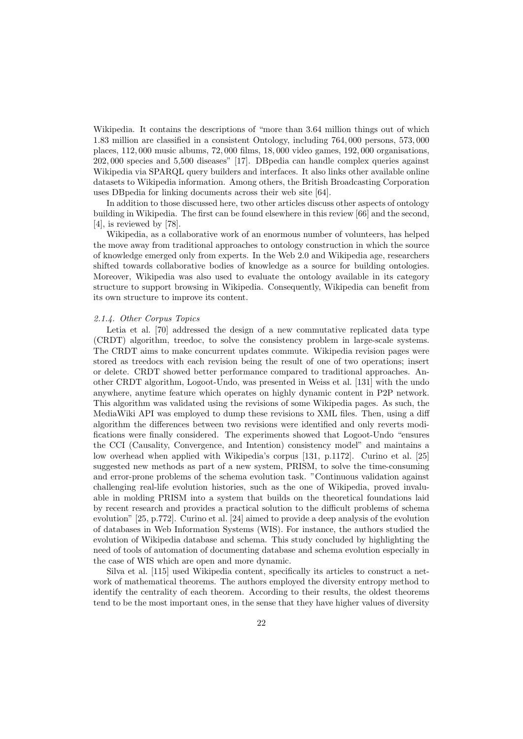Wikipedia. It contains the descriptions of "more than 3.64 million things out of which 1.83 million are classified in a consistent Ontology, including 764, 000 persons, 573, 000 places, 112, 000 music albums, 72, 000 films, 18, 000 video games, 192, 000 organisations, 202, 000 species and 5,500 diseases" [\[17\]](#page-35-18). DBpedia can handle complex queries against Wikipedia via SPARQL query builders and interfaces. It also links other available online datasets to Wikipedia information. Among others, the British Broadcasting Corporation uses DBpedia for linking documents across their web site [\[64\]](#page-37-21).

In addition to those discussed here, two other articles discuss other aspects of ontology building in Wikipedia. The first can be found elsewhere in this review [\[66\]](#page-37-22) and the second, [\[4\]](#page-34-8), is reviewed by [\[78\]](#page-37-1).

Wikipedia, as a collaborative work of an enormous number of volunteers, has helped the move away from traditional approaches to ontology construction in which the source of knowledge emerged only from experts. In the Web 2.0 and Wikipedia age, researchers shifted towards collaborative bodies of knowledge as a source for building ontologies. Moreover, Wikipedia was also used to evaluate the ontology available in its category structure to support browsing in Wikipedia. Consequently, Wikipedia can benefit from its own structure to improve its content.

#### 2.1.4. Other Corpus Topics

Letia et al. [\[70\]](#page-37-23) addressed the design of a new commutative replicated data type (CRDT) algorithm, treedoc, to solve the consistency problem in large-scale systems. The CRDT aims to make concurrent updates commute. Wikipedia revision pages were stored as treedocs with each revision being the result of one of two operations; insert or delete. CRDT showed better performance compared to traditional approaches. Another CRDT algorithm, Logoot-Undo, was presented in Weiss et al. [\[131\]](#page-39-21) with the undo anywhere, anytime feature which operates on highly dynamic content in P2P network. This algorithm was validated using the revisions of some Wikipedia pages. As such, the MediaWiki API was employed to dump these revisions to XML files. Then, using a diff algorithm the differences between two revisions were identified and only reverts modifications were finally considered. The experiments showed that Logoot-Undo "ensures the CCI (Causality, Convergence, and Intention) consistency model" and maintains a low overhead when applied with Wikipedia's corpus [\[131,](#page-39-21) p.1172]. Curino et al. [\[25\]](#page-35-19) suggested new methods as part of a new system, PRISM, to solve the time-consuming and error-prone problems of the schema evolution task. "Continuous validation against challenging real-life evolution histories, such as the one of Wikipedia, proved invaluable in molding PRISM into a system that builds on the theoretical foundations laid by recent research and provides a practical solution to the difficult problems of schema evolution" [\[25,](#page-35-19) p.772]. Curino et al. [\[24\]](#page-35-20) aimed to provide a deep analysis of the evolution of databases in Web Information Systems (WIS). For instance, the authors studied the evolution of Wikipedia database and schema. This study concluded by highlighting the need of tools of automation of documenting database and schema evolution especially in the case of WIS which are open and more dynamic.

Silva et al. [\[115\]](#page-39-22) used Wikipedia content, specifically its articles to construct a network of mathematical theorems. The authors employed the diversity entropy method to identify the centrality of each theorem. According to their results, the oldest theorems tend to be the most important ones, in the sense that they have higher values of diversity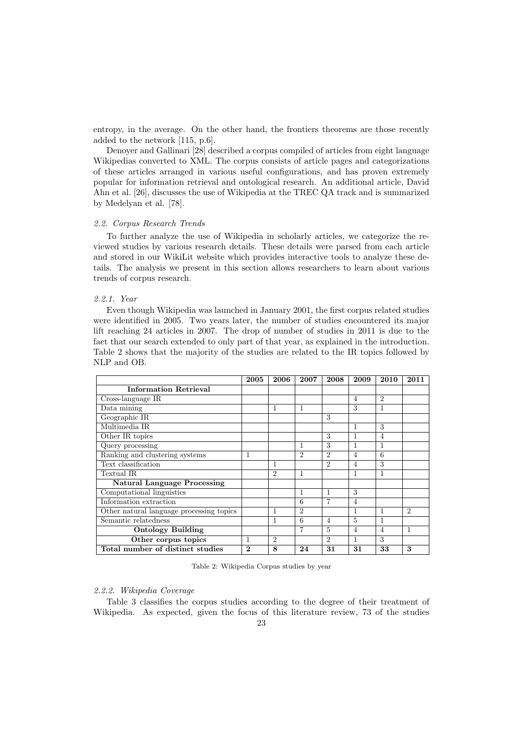entropy, in the average. On the other hand, the frontiers theorems are those recently added to the network [\[115,](#page-39-22) p.6].

Denoyer and Gallinari [\[28\]](#page-35-21) described a corpus compiled of articles from eight language Wikipedias converted to XML. The corpus consists of article pages and categorizations of these articles arranged in various useful configurations, and has proven extremely popular for information retrieval and ontological research. An additional article, David Ahn et al. [\[26\]](#page-35-22), discusses the use of Wikipedia at the TREC QA track and is summarized by Medelyan et al. [\[78\]](#page-37-1).

#### 2.2. Corpus Research Trends

To further analyze the use of Wikipedia in scholarly articles, we categorize the reviewed studies by various research details. These details were parsed from each article and stored in our WikiLit website which provides interactive tools to analyze these details. The analysis we present in this section allows researchers to learn about various trends of corpus research.

#### 2.2.1. Year

Even though Wikipedia was launched in January 2001, the first corpus related studies were identified in 2005. Two years later, the number of studies encountered its major lift reaching 24 articles in 2007. The drop of number of studies in 2011 is due to the fact that our search extended to only part of that year, as explained in the introduction. Table 2 shows that the majority of the studies are related to the IR topics followed by NLP and OB.

|                                          | 2005             | 2006           | 2007           | 2008           | 2009           | 2010           | 2011           |
|------------------------------------------|------------------|----------------|----------------|----------------|----------------|----------------|----------------|
| <b>Information Retrieval</b>             |                  |                |                |                |                |                |                |
| Cross-language IR                        |                  |                |                |                | $\overline{4}$ | $\overline{2}$ |                |
| Data mining                              |                  | 1              | 1              |                | 3              | 1              |                |
| Geographic IR                            |                  |                |                | 3              |                |                |                |
| Multimedia IR                            |                  |                |                |                | 1              | 3              |                |
| Other IR topics                          |                  |                |                | 3              | 1              | $\overline{4}$ |                |
| Query processing                         |                  |                | 1              | 3              | 1              | 1              |                |
| Ranking and clustering systems           | 1                |                | $\overline{2}$ | $\overline{2}$ | 4              | 6              |                |
| Text classification                      |                  | 1              |                | $\mathfrak{D}$ | $\overline{4}$ | 3              |                |
| Textual IR                               |                  | $\mathfrak{D}$ | 1              |                | 1              | 1              |                |
| <b>Natural Language Processing</b>       |                  |                |                |                |                |                |                |
| Computational linguistics                |                  |                | 1              | $\mathbf{1}$   | 3              |                |                |
| Information extraction                   |                  |                | 6              | 7              | $\overline{4}$ |                |                |
| Other natural language processing topics |                  | 1              | $\overline{2}$ |                | 1              | 1              | $\overline{2}$ |
| Semantic relatedness                     |                  | 1              | 6              | $\overline{4}$ | 5              | 1              |                |
| <b>Ontology Building</b>                 |                  |                | 7              | 5              | $\overline{4}$ | $\overline{4}$ | 1              |
| Other corpus topics                      | 1                | $\overline{2}$ |                | $\overline{2}$ | 1              | 3              |                |
| Total number of distinct studies         | $\boldsymbol{2}$ | 8              | 24             | 31             | 31             | 33             | 3              |

Table 2: Wikipedia Corpus studies by year

# 2.2.2. Wikipedia Coverage

Table 3 classifies the corpus studies according to the degree of their treatment of Wikipedia. As expected, given the focus of this literature review, 73 of the studies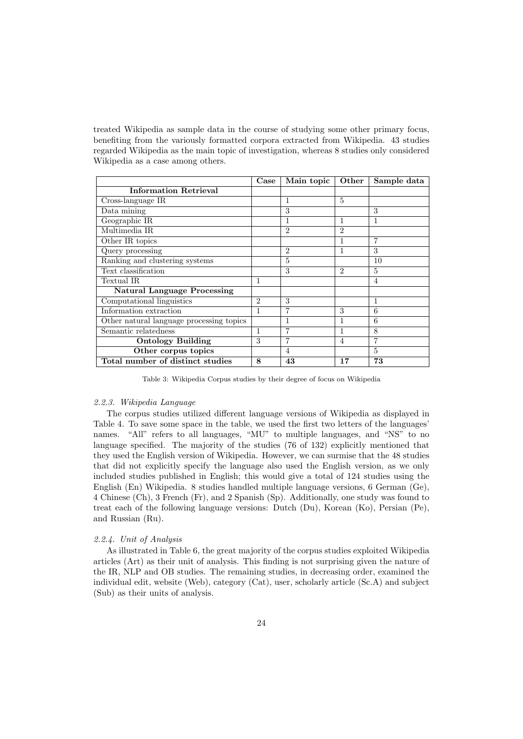treated Wikipedia as sample data in the course of studying some other primary focus, benefiting from the variously formatted corpora extracted from Wikipedia. 43 studies regarded Wikipedia as the main topic of investigation, whereas 8 studies only considered Wikipedia as a case among others.

|                                          | Case           | Main topic     | Other          | Sample data |
|------------------------------------------|----------------|----------------|----------------|-------------|
| <b>Information Retrieval</b>             |                |                |                |             |
| Cross-language IR                        |                | 1              | 5              |             |
| Data mining                              |                | 3              |                | 3           |
| Geographic IR                            |                |                |                |             |
| Multimedia IR                            |                | $\overline{2}$ | 2              |             |
| Other IR topics                          |                |                |                |             |
| Query processing                         |                | $\overline{2}$ |                | 3           |
| Ranking and clustering systems           |                | 5              |                | 10          |
| Text classification                      |                | 3              | $\mathfrak{D}$ | 5           |
| Textual IR                               | $\mathbf{1}$   |                |                | 4           |
| <b>Natural Language Processing</b>       |                |                |                |             |
| Computational linguistics                | $\mathfrak{D}$ | 3              |                | 1           |
| Information extraction                   | 1              | 7              | 3              | 6           |
| Other natural language processing topics |                |                |                | 6           |
| Semantic relatedness                     | 1              |                |                | 8           |
| <b>Ontology Building</b>                 | 3              |                | 4              | 7           |
| Other corpus topics                      |                | 4              |                | 5           |
| Total number of distinct studies         | 8              | 43             | 17             | 73          |

Table 3: Wikipedia Corpus studies by their degree of focus on Wikipedia

# 2.2.3. Wikipedia Language

The corpus studies utilized different language versions of Wikipedia as displayed in Table 4. To save some space in the table, we used the first two letters of the languages' names. "All" refers to all languages, "MU" to multiple languages, and "NS" to no language specified. The majority of the studies (76 of 132) explicitly mentioned that they used the English version of Wikipedia. However, we can surmise that the 48 studies that did not explicitly specify the language also used the English version, as we only included studies published in English; this would give a total of 124 studies using the English (En) Wikipedia. 8 studies handled multiple language versions, 6 German (Ge), 4 Chinese (Ch), 3 French (Fr), and 2 Spanish (Sp). Additionally, one study was found to treat each of the following language versions: Dutch (Du), Korean (Ko), Persian (Pe), and Russian (Ru).

## 2.2.4. Unit of Analysis

As illustrated in Table 6, the great majority of the corpus studies exploited Wikipedia articles (Art) as their unit of analysis. This finding is not surprising given the nature of the IR, NLP and OB studies. The remaining studies, in decreasing order, examined the individual edit, website (Web), category (Cat), user, scholarly article (Sc.A) and subject (Sub) as their units of analysis.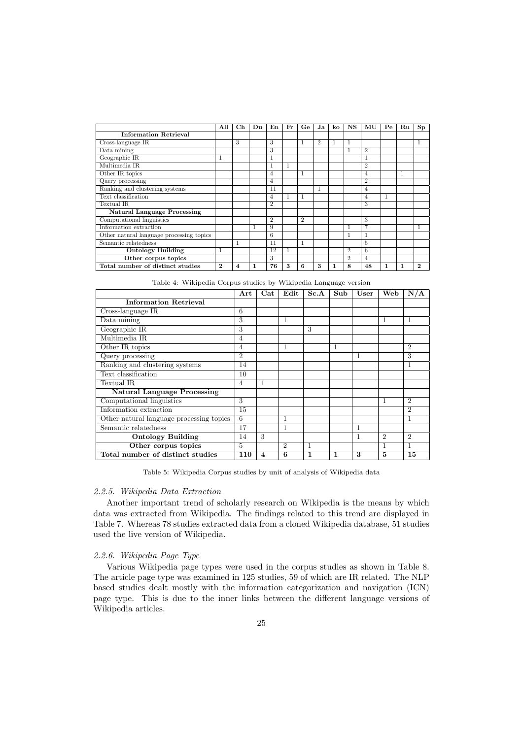|                                          | All      | $\rm Ch$ | Du | En             | Fr           | Ge             | Ja             | ko | NS             | MU             | Pe | Ru           | $\mathbf{Sp}$ |
|------------------------------------------|----------|----------|----|----------------|--------------|----------------|----------------|----|----------------|----------------|----|--------------|---------------|
| <b>Information Retrieval</b>             |          |          |    |                |              |                |                |    |                |                |    |              |               |
| Cross-language IR                        |          | 3        |    | 3              |              | $\mathbf{1}$   | $\overline{2}$ |    | 1              |                |    |              | 1             |
| Data mining                              |          |          |    | 3              |              |                |                |    |                | $\overline{2}$ |    |              |               |
| Geographic IR                            |          |          |    | $\mathbf{1}$   |              |                |                |    |                | 1              |    |              |               |
| Multimedia IR                            |          |          |    | 1              |              |                |                |    |                | $\overline{2}$ |    |              |               |
| Other IR topics                          |          |          |    | $\overline{4}$ |              | 1              |                |    |                | $\overline{4}$ |    | $\mathbf{1}$ |               |
| Query processing                         |          |          |    | $\overline{4}$ |              |                |                |    |                | $\overline{2}$ |    |              |               |
| Ranking and clustering systems           |          |          |    | 11             |              |                | 1              |    |                | $\overline{4}$ |    |              |               |
| Text classification                      |          |          |    | $\overline{4}$ | $\mathbf{I}$ | 1              |                |    |                | $\overline{4}$ | 1  |              |               |
| Textual IR                               |          |          |    | $\overline{2}$ |              |                |                |    |                | 3              |    |              |               |
| <b>Natural Language Processing</b>       |          |          |    |                |              |                |                |    |                |                |    |              |               |
| Computational linguistics                |          |          |    | $\overline{2}$ |              | $\overline{2}$ |                |    |                | 3              |    |              |               |
| Information extraction                   |          |          |    | 9              |              |                |                |    |                | $\overline{7}$ |    |              | 1             |
| Other natural language processing topics |          |          |    | 6              |              |                |                |    | 1              | $\mathbf{1}$   |    |              |               |
| Semantic relatedness                     |          | 1        |    | 11             |              | $\mathbf{1}$   |                |    |                | 5              |    |              |               |
| <b>Ontology Building</b>                 | 1        |          |    | 12             |              |                |                |    | $\overline{2}$ | 6              |    |              |               |
| Other corpus topics                      |          |          |    | 3              |              |                |                |    | $\mathfrak{D}$ | $\overline{4}$ |    |              |               |
| Total number of distinct studies         | $\bf{2}$ | 4        |    | 76             | 3            | 6              | 3              |    | 8              | 48             | 1  | $\mathbf{1}$ | $\mathbf 2$   |

Table 4: Wikipedia Corpus studies by Wikipedia Language version

|                                          | Art            | Cat                     | Edit           | Sc.A | Sub | User         | Web            | N/A            |
|------------------------------------------|----------------|-------------------------|----------------|------|-----|--------------|----------------|----------------|
| <b>Information Retrieval</b>             |                |                         |                |      |     |              |                |                |
| Cross-language IR                        | 6              |                         |                |      |     |              |                |                |
| Data mining                              | 3              |                         | 1              |      |     |              | 1              | 1              |
| Geographic IR                            | 3              |                         |                | 3    |     |              |                |                |
| Multimedia IR                            | $\overline{4}$ |                         |                |      |     |              |                |                |
| Other IR topics                          | $\overline{4}$ |                         | 1              |      | 1   |              |                | $\overline{2}$ |
| Query processing                         | $\overline{2}$ |                         |                |      |     | 1            |                | 3              |
| Ranking and clustering systems           | 14             |                         |                |      |     |              |                | 1              |
| Text classification                      | 10             |                         |                |      |     |              |                |                |
| Textual IR                               | $\overline{4}$ | 1                       |                |      |     |              |                |                |
| <b>Natural Language Processing</b>       |                |                         |                |      |     |              |                |                |
| Computational linguistics                | 3              |                         |                |      |     |              | 1              | $\overline{2}$ |
| Information extraction                   | 15             |                         |                |      |     |              |                | $\overline{2}$ |
| Other natural language processing topics | 6              |                         | 1              |      |     |              |                | $\mathbf{1}$   |
| Semantic relatedness                     | 17             |                         | 1              |      |     | $\mathbf{1}$ |                |                |
| <b>Ontology Building</b>                 | 14             | 3                       |                |      |     | 1            | $\mathfrak{D}$ | $\overline{2}$ |
| Other corpus topics                      | 5              |                         | $\overline{2}$ | 1    |     |              | 1              | 1              |
| Total number of distinct studies         | 110            | $\overline{\mathbf{4}}$ | 6              | 1    | 1   | 3            | 5              | 15             |

Table 5: Wikipedia Corpus studies by unit of analysis of Wikipedia data

# 2.2.5. Wikipedia Data Extraction

Another important trend of scholarly research on Wikipedia is the means by which data was extracted from Wikipedia. The findings related to this trend are displayed in Table 7. Whereas 78 studies extracted data from a cloned Wikipedia database, 51 studies used the live version of Wikipedia.

# 2.2.6. Wikipedia Page Type

Various Wikipedia page types were used in the corpus studies as shown in Table 8. The article page type was examined in 125 studies, 59 of which are IR related. The NLP based studies dealt mostly with the information categorization and navigation (ICN) page type. This is due to the inner links between the different language versions of Wikipedia articles.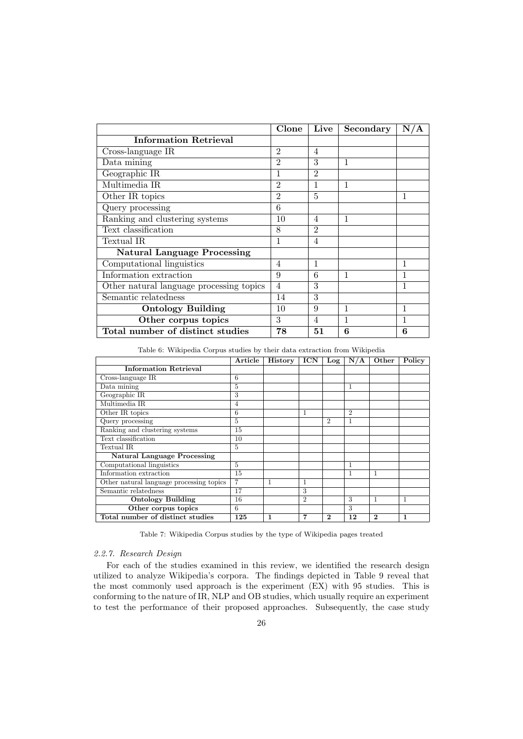|                                          | Clone          | Live           | Secondary | N/A |
|------------------------------------------|----------------|----------------|-----------|-----|
| <b>Information Retrieval</b>             |                |                |           |     |
| Cross-language IR                        | 2              | $\overline{4}$ |           |     |
| Data mining                              | $\overline{2}$ | 3              | 1         |     |
| Geographic IR                            |                | $\overline{2}$ |           |     |
| Multimedia IR                            | $\overline{2}$ | 1              | 1         |     |
| Other IR topics                          | $\overline{2}$ | 5              |           | 1   |
| Query processing                         | 6              |                |           |     |
| Ranking and clustering systems           | 10             | $\overline{4}$ | 1         |     |
| Text classification                      | 8              | $\overline{2}$ |           |     |
| Textual IR                               |                | 4              |           |     |
| <b>Natural Language Processing</b>       |                |                |           |     |
| Computational linguistics                | 4              | 1              |           | 1   |
| Information extraction                   | 9              | 6              | 1         |     |
| Other natural language processing topics | 4              | 3              |           |     |
| Semantic relatedness                     | 14             | 3              |           |     |
| <b>Ontology Building</b>                 | 10             | 9              | 1         | 1   |
| Other corpus topics                      | 3              | 4              | 1         | 1   |
| Total number of distinct studies         | 78             | 51             | 6         | 6   |

Table 6: Wikipedia Corpus studies by their data extraction from Wikipedia

|                                          | $\operatorname{Article}{}$ | History | <b>ICN</b>     | Log            | N/A            | Other    | Policy |
|------------------------------------------|----------------------------|---------|----------------|----------------|----------------|----------|--------|
| <b>Information Retrieval</b>             |                            |         |                |                |                |          |        |
| Cross-language IR                        | 6                          |         |                |                |                |          |        |
| Data mining                              | 5                          |         |                |                | 1              |          |        |
| Geographic IR                            | 3                          |         |                |                |                |          |        |
| Multimedia IR                            | 4                          |         |                |                |                |          |        |
| Other IR topics                          | 6                          |         |                |                | $\overline{2}$ |          |        |
| Query processing                         | 5                          |         |                | $\overline{2}$ | 1              |          |        |
| Ranking and clustering systems           | 15                         |         |                |                |                |          |        |
| Text classification                      | 10                         |         |                |                |                |          |        |
| Textual IR                               | 5                          |         |                |                |                |          |        |
| <b>Natural Language Processing</b>       |                            |         |                |                |                |          |        |
| Computational linguistics                | 5                          |         |                |                | 1              |          |        |
| Information extraction                   | 15                         |         |                |                | 1              | 1        |        |
| Other natural language processing topics | $\overline{7}$             | 1       | 1              |                |                |          |        |
| Semantic relatedness                     | 17                         |         | 3              |                |                |          |        |
| <b>Ontology Building</b>                 | 16                         |         | $\overline{2}$ |                | 3              | 1        | 1      |
| Other corpus topics                      | 6                          |         |                |                | 3              |          |        |
| Total number of distinct studies         | 125                        | 1       | 7              | $\bf{2}$       | 12             | $\bf{2}$ | 1      |

Table 7: Wikipedia Corpus studies by the type of Wikipedia pages treated

# 2.2.7. Research Design

For each of the studies examined in this review, we identified the research design utilized to analyze Wikipedia's corpora. The findings depicted in Table 9 reveal that the most commonly used approach is the experiment (EX) with 95 studies. This is conforming to the nature of IR, NLP and OB studies, which usually require an experiment to test the performance of their proposed approaches. Subsequently, the case study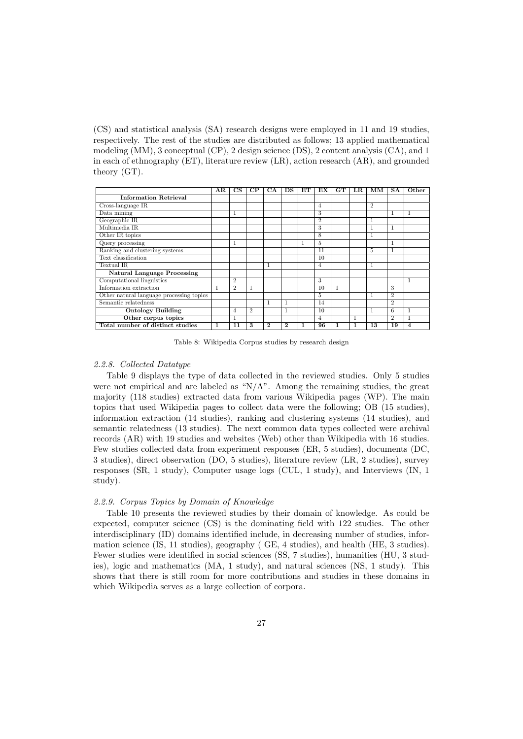(CS) and statistical analysis (SA) research designs were employed in 11 and 19 studies, respectively. The rest of the studies are distributed as follows; 13 applied mathematical modeling (MM), 3 conceptual (CP), 2 design science (DS), 2 content analysis (CA), and 1 in each of ethnography (ET), literature review (LR), action research (AR), and grounded theory (GT).

|                                          | AR | $_{\rm CS}$    | CP            | СA             | DS             | EТ           | EX             | <b>GT</b> | $_{\rm LR}$        | MМ             | <b>SA</b>      | Other       |
|------------------------------------------|----|----------------|---------------|----------------|----------------|--------------|----------------|-----------|--------------------|----------------|----------------|-------------|
| <b>Information Retrieval</b>             |    |                |               |                |                |              |                |           |                    |                |                |             |
| Cross-language IR                        |    |                |               |                |                |              | $\overline{4}$ |           |                    | $\overline{2}$ |                |             |
| Data mining                              |    | 1              |               |                |                |              | 3              |           |                    |                | $\mathbf{1}$   | $\mathbf 1$ |
| Geographic IR                            |    |                |               |                |                |              | $\overline{2}$ |           |                    |                |                |             |
| Multimedia IR                            |    |                |               |                |                |              | 3              |           |                    |                | $\mathbf{1}$   |             |
| Other IR topics                          |    |                |               |                |                |              | 8              |           |                    | 1              |                |             |
| Query processing                         |    | 1              |               |                |                | $\mathbf{1}$ | 5              |           |                    |                | $\mathbf{1}$   |             |
| Ranking and clustering systems           |    |                |               |                |                |              | 11             |           |                    | 5              | $\mathbf{1}$   |             |
| Text classification                      |    |                |               |                |                |              | 10             |           |                    |                |                |             |
| Textual IR                               |    |                |               | 1              |                |              | $\overline{4}$ |           |                    | 1              |                |             |
| <b>Natural Language Processing</b>       |    |                |               |                |                |              |                |           |                    |                |                |             |
| Computational linguistics                |    | $\overline{2}$ |               |                |                |              | 3              |           |                    |                |                | 1           |
| Information extraction                   |    | $\overline{2}$ |               |                |                |              | 10             | л         |                    |                | 3              |             |
| Other natural language processing topics |    |                |               |                |                |              | 5              |           |                    |                | $\overline{2}$ |             |
| Semantic relatedness                     |    |                |               | 1              | 1              |              | 14             |           |                    |                | $\overline{2}$ |             |
| <b>Ontology Building</b>                 |    | 4              | $\mathcal{D}$ |                | 1              |              | 10             |           |                    | 1              | 6              | 1           |
| Other corpus topics                      |    | 1              |               |                |                |              | 4              |           | $\mathbf{a}$<br>л. |                | $\overline{2}$ | 1<br>л.     |
| Total number of distinct studies         | 1  | 11             | 3             | $\overline{2}$ | $\overline{2}$ | 1            | 96             | 1         | 1                  | 13             | 19             | 4           |

Table 8: Wikipedia Corpus studies by research design

# 2.2.8. Collected Datatype

Table 9 displays the type of data collected in the reviewed studies. Only 5 studies were not empirical and are labeled as " $N/A$ ". Among the remaining studies, the great majority (118 studies) extracted data from various Wikipedia pages (WP). The main topics that used Wikipedia pages to collect data were the following; OB (15 studies), information extraction (14 studies), ranking and clustering systems (14 studies), and semantic relatedness (13 studies). The next common data types collected were archival records (AR) with 19 studies and websites (Web) other than Wikipedia with 16 studies. Few studies collected data from experiment responses (ER, 5 studies), documents (DC, 3 studies), direct observation (DO, 5 studies), literature review (LR, 2 studies), survey responses (SR, 1 study), Computer usage logs (CUL, 1 study), and Interviews (IN, 1 study).

#### 2.2.9. Corpus Topics by Domain of Knowledge

Table 10 presents the reviewed studies by their domain of knowledge. As could be expected, computer science (CS) is the dominating field with 122 studies. The other interdisciplinary (ID) domains identified include, in decreasing number of studies, information science (IS, 11 studies), geography ( GE, 4 studies), and health (HE, 3 studies). Fewer studies were identified in social sciences (SS, 7 studies), humanities (HU, 3 studies), logic and mathematics (MA, 1 study), and natural sciences (NS, 1 study). This shows that there is still room for more contributions and studies in these domains in which Wikipedia serves as a large collection of corpora.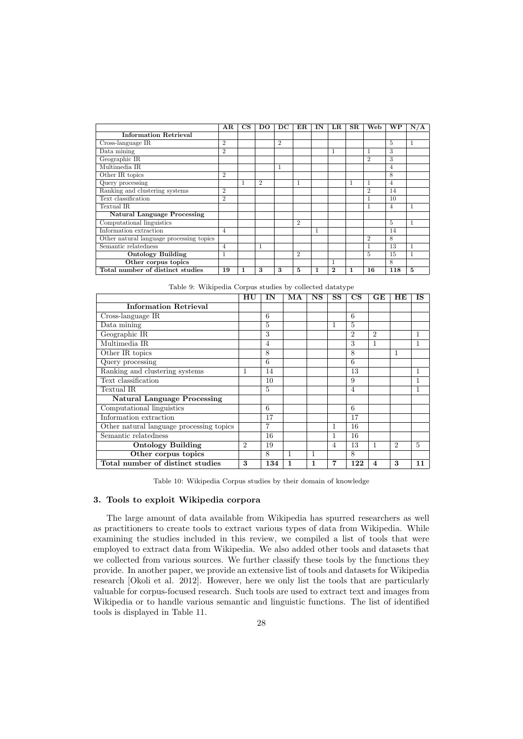|                                          | $\bf{AR}$      | $_{\rm CS}$ | DO             | $_{\rm DC}$    | $_{\rm ER}$    | IN | $_{\rm LR}$ | $_{\rm SR}$ | Web            | WР             | N/A |
|------------------------------------------|----------------|-------------|----------------|----------------|----------------|----|-------------|-------------|----------------|----------------|-----|
| <b>Information Retrieval</b>             |                |             |                |                |                |    |             |             |                |                |     |
| Cross-language IR                        | $\overline{2}$ |             |                | $\overline{2}$ |                |    |             |             |                | 5              | 1   |
| Data mining                              | $\overline{2}$ |             |                |                |                |    | T           |             |                | 3              |     |
| Geographic IR                            |                |             |                |                |                |    |             |             | 2              | 3              |     |
| Multimedia IR                            |                |             |                | 1              |                |    |             |             |                | $\overline{4}$ |     |
| Other IR topics                          | $\overline{2}$ |             |                |                |                |    |             |             |                | 8              |     |
| Query processing                         |                |             | $\overline{2}$ |                | $\mathbf{1}$   |    |             |             |                | $\overline{4}$ |     |
| Ranking and clustering systems           | $\overline{2}$ |             |                |                |                |    |             |             | $\overline{2}$ | 14             |     |
| Text classification                      | $\overline{2}$ |             |                |                |                |    |             |             |                | 10             |     |
| Textual IR                               |                |             |                |                |                |    |             |             | 1              | 4              | 1   |
| <b>Natural Language Processing</b>       |                |             |                |                |                |    |             |             |                |                |     |
| Computational linguistics                |                |             |                |                | $\overline{2}$ |    |             |             |                | 5              |     |
| Information extraction                   | $\overline{4}$ |             |                |                |                | 1  |             |             |                | 14             |     |
| Other natural language processing topics |                |             |                |                |                |    |             |             | $\overline{2}$ | 8              |     |
| Semantic relatedness                     | 4              |             | $\mathbf{1}$   |                |                |    |             |             |                | 13             |     |
| <b>Ontology Building</b>                 | 1              |             |                |                | $\overline{2}$ |    |             |             | 5              | 15             |     |
| Other corpus topics                      |                |             |                |                |                |    |             |             |                | 8              |     |
| Total number of distinct studies         | 19             | 1           | 3              | 3              | 5              |    | $\bf{2}$    | 1           | 16             | 118            | 5   |

Table 9: Wikipedia Corpus studies by collected datatype

|                                          | HU             | IN             | МA          | $_{\rm NS}$ | <b>SS</b>    | $\mathbf{CS}$  | GE             | HE                          | <b>IS</b> |
|------------------------------------------|----------------|----------------|-------------|-------------|--------------|----------------|----------------|-----------------------------|-----------|
| <b>Information Retrieval</b>             |                |                |             |             |              |                |                |                             |           |
| Cross-language IR                        |                | 6              |             |             |              | 6              |                |                             |           |
| Data mining                              |                | 5              |             |             | 1            | 5              |                |                             |           |
| Geographic IR                            |                | 3              |             |             |              | $\mathfrak{D}$ | $\overline{2}$ |                             | 1         |
| Multimedia IR                            |                | $\overline{4}$ |             |             |              | 3              | $\mathbf{1}$   |                             | 1         |
| Other IR topics                          |                | 8              |             |             |              | 8              |                | 1                           |           |
| Query processing                         |                | 6              |             |             |              | 6              |                |                             |           |
| Ranking and clustering systems           | 1              | 14             |             |             |              | 13             |                |                             | 1         |
| Text classification                      |                | 10             |             |             |              | 9              |                |                             | 1         |
| Textual IR                               |                | 5              |             |             |              | $\overline{4}$ |                |                             | 1         |
| <b>Natural Language Processing</b>       |                |                |             |             |              |                |                |                             |           |
| Computational linguistics                |                | 6              |             |             |              | 6              |                |                             |           |
| Information extraction                   |                | 17             |             |             |              | 17             |                |                             |           |
| Other natural language processing topics |                | $\overline{7}$ |             |             | $\mathbf{1}$ | 16             |                |                             |           |
| Semantic relatedness                     |                | 16             |             |             | 1            | 16             |                |                             |           |
| <b>Ontology Building</b>                 | $\overline{2}$ | 19             |             |             | 4            | 13             | $\mathbf{1}$   | $\mathcal{D}_{\mathcal{L}}$ | 5         |
| Other corpus topics                      |                | 8              | 1           | 1           |              | 8              |                |                             |           |
| Total number of distinct studies         | 3              | 134            | $\mathbf 1$ | 1           | 7            | 122            | 4              | 3                           | 11        |

Table 10: Wikipedia Corpus studies by their domain of knowledge

# 3. Tools to exploit Wikipedia corpora

The large amount of data available from Wikipedia has spurred researchers as well as practitioners to create tools to extract various types of data from Wikipedia. While examining the studies included in this review, we compiled a list of tools that were employed to extract data from Wikipedia. We also added other tools and datasets that we collected from various sources. We further classify these tools by the functions they provide. In another paper, we provide an extensive list of tools and datasets for Wikipedia research [Okoli et al. 2012]. However, here we only list the tools that are particularly valuable for corpus-focused research. Such tools are used to extract text and images from Wikipedia or to handle various semantic and linguistic functions. The list of identified tools is displayed in Table 11.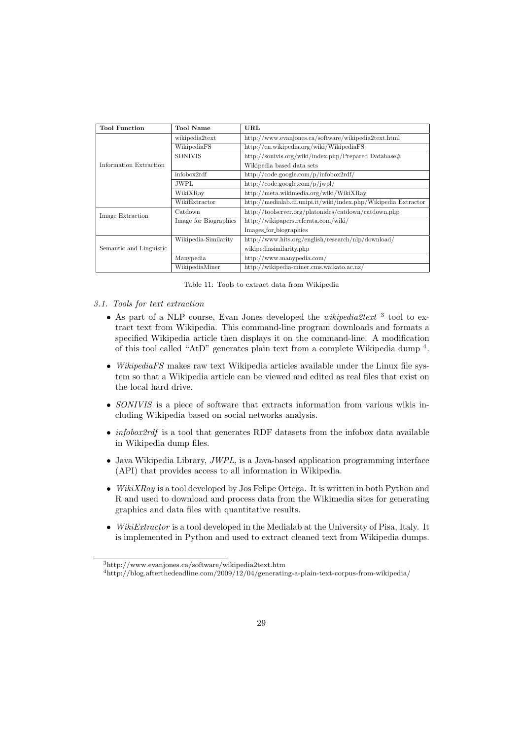| <b>Tool Function</b>    | <b>Tool Name</b>      | URL                                                            |  |  |  |  |  |  |
|-------------------------|-----------------------|----------------------------------------------------------------|--|--|--|--|--|--|
|                         | wikipedia2text        | http://www.evanjones.ca/software/wikipedia2text.html           |  |  |  |  |  |  |
|                         | WikipediaFS           | http://en.wikipedia.org/wiki/WikipediaFS                       |  |  |  |  |  |  |
|                         | <b>SONIVIS</b>        | http://sonivis.org/wiki/index.php/Prepared Database#           |  |  |  |  |  |  |
| Information Extraction  |                       | Wikipedia based data sets                                      |  |  |  |  |  |  |
|                         | infobox2rdf           | http://code.google.com/p/infobox2rdf/                          |  |  |  |  |  |  |
|                         | <b>JWPL</b>           | http://code.google.com/p/jwpl/                                 |  |  |  |  |  |  |
|                         | WikiXRay              | http://meta.wikimedia.org/wiki/WikiXRay                        |  |  |  |  |  |  |
|                         | WikiExtractor         | http://medialab.di.unipi.it/wiki/index.php/Wikipedia Extractor |  |  |  |  |  |  |
| Image Extraction        | Catdown               | http://toolserver.org/platonides/catdown/catdown.php           |  |  |  |  |  |  |
|                         | Image for Biographies | http://wikipapers.referata.com/wiki/                           |  |  |  |  |  |  |
|                         |                       | Images for biographies                                         |  |  |  |  |  |  |
|                         | Wikipedia-Similarity  | http://www.hits.org/english/research/nlp/download/             |  |  |  |  |  |  |
| Semantic and Linguistic |                       | wikipediasimilarity.php                                        |  |  |  |  |  |  |
|                         | Manypedia             | http://www.manypedia.com/                                      |  |  |  |  |  |  |
|                         | WikipediaMiner        | http://wikipedia-miner.cms.waikato.ac.nz/                      |  |  |  |  |  |  |

Table 11: Tools to extract data from Wikipedia

- 3.1. Tools for text extraction
	- As part of a NLP course, Evan Jones developed the *wikipedia2text*  $3$  tool to extract text from Wikipedia. This command-line program downloads and formats a specified Wikipedia article then displays it on the command-line. A modification of this tool called "AtD" generates plain text from a complete Wikipedia dump [4](#page-28-1) .
	- WikipediaFS makes raw text Wikipedia articles available under the Linux file system so that a Wikipedia article can be viewed and edited as real files that exist on the local hard drive.
	- SONIVIS is a piece of software that extracts information from various wikis including Wikipedia based on social networks analysis.
	- *infobox2rdf* is a tool that generates RDF datasets from the infobox data available in Wikipedia dump files.
	- Java Wikipedia Library, JWPL, is a Java-based application programming interface (API) that provides access to all information in Wikipedia.
	- WikiXRay is a tool developed by Jos Felipe Ortega. It is written in both Python and R and used to download and process data from the Wikimedia sites for generating graphics and data files with quantitative results.
	- WikiExtractor is a tool developed in the Medialab at the University of Pisa, Italy. It is implemented in Python and used to extract cleaned text from Wikipedia dumps.

<span id="page-28-0"></span><sup>3</sup>http://www.evanjones.ca/software/wikipedia2text.htm

<span id="page-28-1"></span> $^4$ http://blog.afterthedeadline.com/2009/12/04/generating-a-plain-text-corpus-from-wikipedia/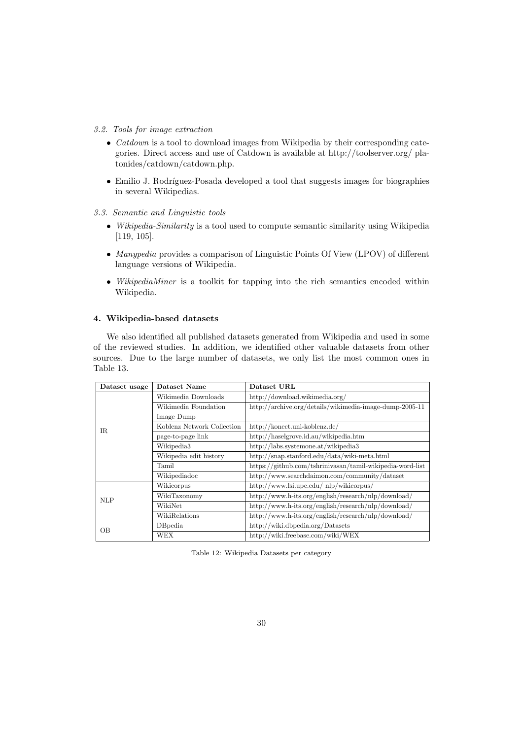- 3.2. Tools for image extraction
	- $\bullet$  *Catdown* is a tool to download images from Wikipedia by their corresponding categories. Direct access and use of Catdown is available at http://toolserver.org/ platonides/catdown/catdown.php.
	- Emilio J. Rodríguez-Posada developed a tool that suggests images for biographies in several Wikipedias.
- 3.3. Semantic and Linguistic tools
	- Wikipedia-Similarity is a tool used to compute semantic similarity using Wikipedia [\[119,](#page-39-17) [105\]](#page-38-19).
	- Manypedia provides a comparison of Linguistic Points Of View (LPOV) of different language versions of Wikipedia.
	- WikipediaMiner is a toolkit for tapping into the rich semantics encoded within Wikipedia.

# 4. Wikipedia-based datasets

We also identified all published datasets generated from Wikipedia and used in some of the reviewed studies. In addition, we identified other valuable datasets from other sources. Due to the large number of datasets, we only list the most common ones in Table 13.

| Dataset usage | Dataset Name               | Dataset URL                                               |
|---------------|----------------------------|-----------------------------------------------------------|
|               | Wikimedia Downloads        | http://download.wikimedia.org/                            |
|               | Wikimedia Foundation       | http://archive.org/details/wikimedia-image-dump-2005-11   |
|               | Image Dump                 |                                                           |
| $_{\rm IR}$   | Koblenz Network Collection | http://konect.uni-koblenz.de/                             |
|               | page-to-page link          | http://haselgrove.id.au/wikipedia.htm                     |
|               | Wikipedia3                 | http://labs.systemone.at/wikipedia3                       |
|               | Wikipedia edit history     | http://snap.stanford.edu/data/wiki-meta.html              |
|               | Tamil                      | https://github.com/tshrinivasan/tamil-wikipedia-word-list |
|               | Wikipediadoc               | http://www.searchdaimon.com/community/dataset             |
|               | Wikicorpus                 | http://www.lsi.upc.edu/nlp/wikicorpus/                    |
| <b>NLP</b>    | WikiTaxonomy               | http://www.h-its.org/english/research/nlp/download/       |
|               | WikiNet                    | http://www.h-its.org/english/research/nlp/download/       |
|               | WikiRelations              | http://www.h-its.org/english/research/nlp/download/       |
| OВ            | DBpedia                    | http://wiki.dbpedia.org/Datasets                          |
|               | WEX                        | http://wiki.freebase.com/wiki/WEX                         |

Table 12: Wikipedia Datasets per category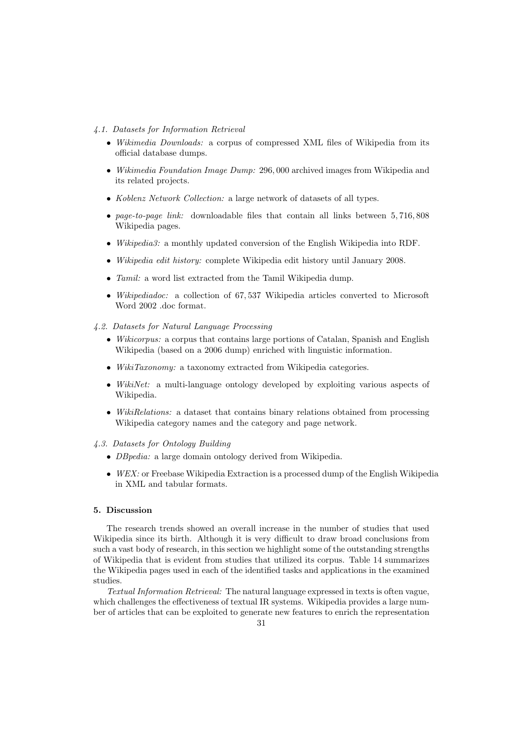#### 4.1. Datasets for Information Retrieval

- Wikimedia Downloads: a corpus of compressed XML files of Wikipedia from its official database dumps.
- Wikimedia Foundation Image Dump: 296, 000 archived images from Wikipedia and its related projects.
- Koblenz Network Collection: a large network of datasets of all types.
- page-to-page link: downloadable files that contain all links between 5, 716, 808 Wikipedia pages.
- Wikipedia3: a monthly updated conversion of the English Wikipedia into RDF.
- Wikipedia edit history: complete Wikipedia edit history until January 2008.
- *Tamil:* a word list extracted from the Tamil Wikipedia dump.
- Wikipediadoc: a collection of 67, 537 Wikipedia articles converted to Microsoft Word 2002 .doc format.
- 4.2. Datasets for Natural Language Processing
	- Wikicorpus: a corpus that contains large portions of Catalan, Spanish and English Wikipedia (based on a 2006 dump) enriched with linguistic information.
	- WikiTaxonomy: a taxonomy extracted from Wikipedia categories.
	- WikiNet: a multi-language ontology developed by exploiting various aspects of Wikipedia.
	- WikiRelations: a dataset that contains binary relations obtained from processing Wikipedia category names and the category and page network.

# 4.3. Datasets for Ontology Building

- DBpedia: a large domain ontology derived from Wikipedia.
- WEX: or Freebase Wikipedia Extraction is a processed dump of the English Wikipedia in XML and tabular formats.

#### 5. Discussion

The research trends showed an overall increase in the number of studies that used Wikipedia since its birth. Although it is very difficult to draw broad conclusions from such a vast body of research, in this section we highlight some of the outstanding strengths of Wikipedia that is evident from studies that utilized its corpus. Table 14 summarizes the Wikipedia pages used in each of the identified tasks and applications in the examined studies.

Textual Information Retrieval: The natural language expressed in texts is often vague, which challenges the effectiveness of textual IR systems. Wikipedia provides a large number of articles that can be exploited to generate new features to enrich the representation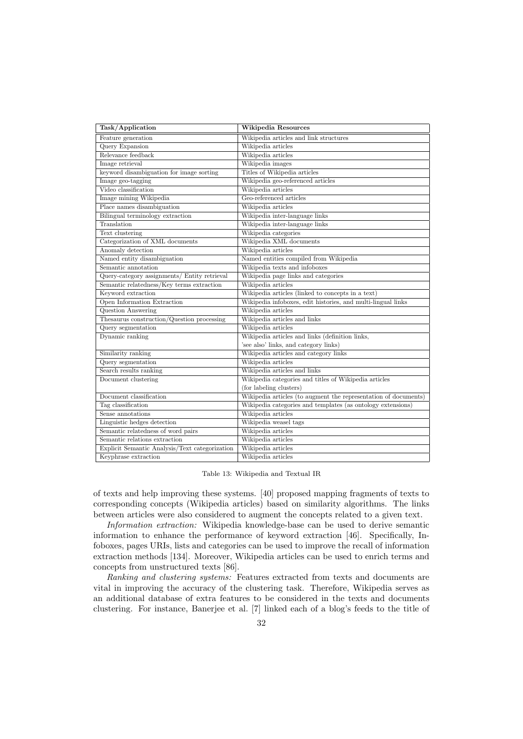| Task/Application                               | Wikipedia Resources                                             |
|------------------------------------------------|-----------------------------------------------------------------|
| Feature generation                             | Wikipedia articles and link structures                          |
| Query Expansion                                | Wikipedia articles                                              |
| Relevance feedback                             | Wikipedia articles                                              |
| Image retrieval                                | Wikipedia images                                                |
| keyword disambiguation for image sorting       | Titles of Wikipedia articles                                    |
| Image geo-tagging                              | Wikipedia geo-referenced articles                               |
| Video classification                           | Wikipedia articles                                              |
| Image mining Wikipedia                         | Geo-referenced articles                                         |
| Place names disambiguation                     | Wikipedia articles                                              |
| Bilingual terminology extraction               | Wikipedia inter-language links                                  |
| Translation                                    | Wikipedia inter-language links                                  |
| Text clustering                                | Wikipedia categories                                            |
| Categorization of XML documents                | Wikipedia XML documents                                         |
| Anomaly detection                              | Wikipedia articles                                              |
| Named entity disambiguation                    | Named entities compiled from Wikipedia                          |
| Semantic annotation                            | Wikipedia texts and infoboxes                                   |
| Query-category assignments/ Entity retrieval   | Wikipedia page links and categories                             |
| Semantic relatedness/Key terms extraction      | Wikipedia articles                                              |
| Keyword extraction                             | Wikipedia articles (linked to concepts in a text)               |
| Open Information Extraction                    | Wikipedia infoboxes, edit histories, and multi-lingual links    |
| Question Answering                             | Wikipedia articles                                              |
| Thesaurus construction/Question processing     | Wikipedia articles and links                                    |
| Query segmentation                             | Wikipedia articles                                              |
| Dynamic ranking                                | Wikipedia articles and links (definition links,                 |
|                                                | 'see also' links, and category links)                           |
| Similarity ranking                             | Wikipedia articles and category links                           |
| Query segmentation                             | Wikipedia articles                                              |
| Search results ranking                         | Wikipedia articles and links                                    |
| Document clustering                            | Wikipedia categories and titles of Wikipedia articles           |
|                                                | (for labeling clusters)                                         |
| Document classification                        | Wikipedia articles (to augment the representation of documents) |
| Tag classification                             | Wikipedia categories and templates (as ontology extensions)     |
| Sense annotations                              | Wikipedia articles                                              |
| Linguistic hedges detection                    | Wikipedia weasel tags                                           |
| Semantic relatedness of word pairs             | Wikipedia articles                                              |
| Semantic relations extraction                  | Wikipedia articles                                              |
| Explicit Semantic Analysis/Text categorization | Wikipedia articles                                              |
| Keyphrase extraction                           | Wikipedia articles                                              |

Table 13: Wikipedia and Textual IR

of texts and help improving these systems. [\[40\]](#page-36-8) proposed mapping fragments of texts to corresponding concepts (Wikipedia articles) based on similarity algorithms. The links between articles were also considered to augment the concepts related to a given text.

Information extraction: Wikipedia knowledge-base can be used to derive semantic information to enhance the performance of keyword extraction [\[46\]](#page-36-16). Specifically, Infoboxes, pages URIs, lists and categories can be used to improve the recall of information extraction methods [\[134\]](#page-40-6). Moreover, Wikipedia articles can be used to enrich terms and concepts from unstructured texts [\[86\]](#page-38-15).

Ranking and clustering systems: Features extracted from texts and documents are vital in improving the accuracy of the clustering task. Therefore, Wikipedia serves as an additional database of extra features to be considered in the texts and documents clustering. For instance, Banerjee et al. [\[7\]](#page-34-6) linked each of a blog's feeds to the title of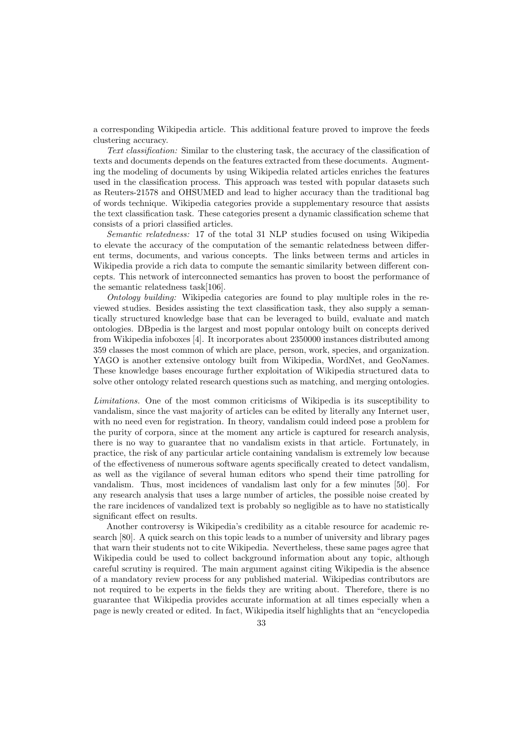a corresponding Wikipedia article. This additional feature proved to improve the feeds clustering accuracy.

Text classification: Similar to the clustering task, the accuracy of the classification of texts and documents depends on the features extracted from these documents. Augmenting the modeling of documents by using Wikipedia related articles enriches the features used in the classification process. This approach was tested with popular datasets such as Reuters-21578 and OHSUMED and lead to higher accuracy than the traditional bag of words technique. Wikipedia categories provide a supplementary resource that assists the text classification task. These categories present a dynamic classification scheme that consists of a priori classified articles.

Semantic relatedness: 17 of the total 31 NLP studies focused on using Wikipedia to elevate the accuracy of the computation of the semantic relatedness between different terms, documents, and various concepts. The links between terms and articles in Wikipedia provide a rich data to compute the semantic similarity between different concepts. This network of interconnected semantics has proven to boost the performance of the semantic relatedness task[\[106\]](#page-38-17).

Ontology building: Wikipedia categories are found to play multiple roles in the reviewed studies. Besides assisting the text classification task, they also supply a semantically structured knowledge base that can be leveraged to build, evaluate and match ontologies. DBpedia is the largest and most popular ontology built on concepts derived from Wikipedia infoboxes [\[4\]](#page-34-8). It incorporates about 2350000 instances distributed among 359 classes the most common of which are place, person, work, species, and organization. YAGO is another extensive ontology built from Wikipedia, WordNet, and GeoNames. These knowledge bases encourage further exploitation of Wikipedia structured data to solve other ontology related research questions such as matching, and merging ontologies.

Limitations. One of the most common criticisms of Wikipedia is its susceptibility to vandalism, since the vast majority of articles can be edited by literally any Internet user, with no need even for registration. In theory, vandalism could indeed pose a problem for the purity of corpora, since at the moment any article is captured for research analysis, there is no way to guarantee that no vandalism exists in that article. Fortunately, in practice, the risk of any particular article containing vandalism is extremely low because of the effectiveness of numerous software agents specifically created to detect vandalism, as well as the vigilance of several human editors who spend their time patrolling for vandalism. Thus, most incidences of vandalism last only for a few minutes [\[50\]](#page-36-22). For any research analysis that uses a large number of articles, the possible noise created by the rare incidences of vandalized text is probably so negligible as to have no statistically significant effect on results.

Another controversy is Wikipedia's credibility as a citable resource for academic research [\[80\]](#page-37-0). A quick search on this topic leads to a number of university and library pages that warn their students not to cite Wikipedia. Nevertheless, these same pages agree that Wikipedia could be used to collect background information about any topic, although careful scrutiny is required. The main argument against citing Wikipedia is the absence of a mandatory review process for any published material. Wikipedias contributors are not required to be experts in the fields they are writing about. Therefore, there is no guarantee that Wikipedia provides accurate information at all times especially when a page is newly created or edited. In fact, Wikipedia itself highlights that an "encyclopedia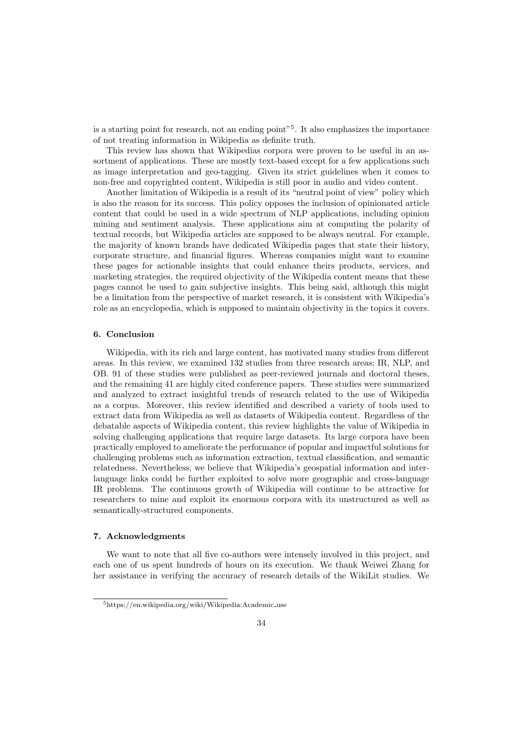is a starting point for research, not an ending point"[5](#page-33-0) . It also emphasizes the importance of not treating information in Wikipedia as definite truth.

This review has shown that Wikipedias corpora were proven to be useful in an assortment of applications. These are mostly text-based except for a few applications such as image interpretation and geo-tagging. Given its strict guidelines when it comes to non-free and copyrighted content, Wikipedia is still poor in audio and video content.

Another limitation of Wikipedia is a result of its "neutral point of view" policy which is also the reason for its success. This policy opposes the inclusion of opinionated article content that could be used in a wide spectrum of NLP applications, including opinion mining and sentiment analysis. These applications aim at computing the polarity of textual records, but Wikipedia articles are supposed to be always neutral. For example, the majority of known brands have dedicated Wikipedia pages that state their history, corporate structure, and financial figures. Whereas companies might want to examine these pages for actionable insights that could enhance theirs products, services, and marketing strategies, the required objectivity of the Wikipedia content means that these pages cannot be used to gain subjective insights. This being said, although this might be a limitation from the perspective of market research, it is consistent with Wikipedia's role as an encyclopedia, which is supposed to maintain objectivity in the topics it covers.

#### 6. Conclusion

Wikipedia, with its rich and large content, has motivated many studies from different areas. In this review, we examined 132 studies from three research areas; IR, NLP, and OB. 91 of these studies were published as peer-reviewed journals and doctoral theses, and the remaining 41 are highly cited conference papers. These studies were summarized and analyzed to extract insightful trends of research related to the use of Wikipedia as a corpus. Moreover, this review identified and described a variety of tools used to extract data from Wikipedia as well as datasets of Wikipedia content. Regardless of the debatable aspects of Wikipedia content, this review highlights the value of Wikipedia in solving challenging applications that require large datasets. Its large corpora have been practically employed to ameliorate the performance of popular and impactful solutions for challenging problems such as information extraction, textual classification, and semantic relatedness. Nevertheless, we believe that Wikipedia's geospatial information and interlanguage links could be further exploited to solve more geographic and cross-language IR problems. The continuous growth of Wikipedia will continue to be attractive for researchers to mine and exploit its enormous corpora with its unstructured as well as semantically-structured components.

#### 7. Acknowledgments

We want to note that all five co-authors were intensely involved in this project, and each one of us spent hundreds of hours on its execution. We thank Weiwei Zhang for her assistance in verifying the accuracy of research details of the WikiLit studies. We

<span id="page-33-0"></span> $5$ [https://en.wikipedia.org/wiki/Wikipedia:Academic](https://en.wikipedia.org/wiki/Wikipedia:Academic_use)\_use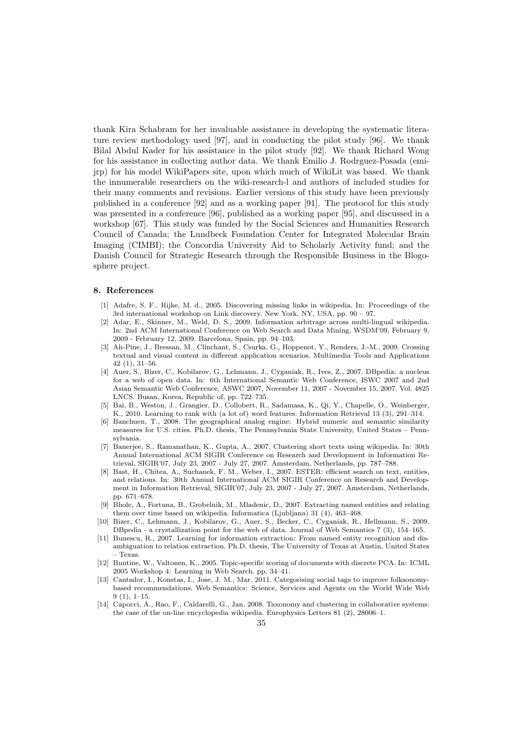thank Kira Schabram for her invaluable assistance in developing the systematic literature review methodology used [\[97\]](#page-38-2), and in conducting the pilot study [\[96\]](#page-38-21). We thank Bilal Abdul Kader for his assistance in the pilot study [\[92\]](#page-38-22). We thank Richard Wong for his assistance in collecting author data. We thank Emilio J. Rodrguez-Posada (emijrp) for his model WikiPapers site, upon which much of WikiLit was based. We thank the innumerable researchers on the wiki-research-l and authors of included studies for their many comments and revisions. Earlier versions of this study have been previously published in a conference [\[92\]](#page-38-22) and as a working paper [\[91\]](#page-38-23). The protocol for this study was presented in a conference [\[96\]](#page-38-21), published as a working paper [\[95\]](#page-38-3), and discussed in a workshop [\[67\]](#page-37-24). This study was funded by the Social Sciences and Humanities Research Council of Canada; the Lundbeck Foundation Center for Integrated Molecular Brain Imaging (CIMBI); the Concordia University Aid to Scholarly Activity fund; and the Danish Council for Strategic Research through the Responsible Business in the Blogosphere project.

#### 8. References

- <span id="page-34-4"></span>[1] Adafre, S. F., Rijke, M. d., 2005. Discovering missing links in wikipedia. In: Proceedings of the 3rd international workshop on Link discovery. New York, NY, USA, pp. 90 – 97.
- <span id="page-34-7"></span>[2] Adar, E., Skinner, M., Weld, D. S., 2009. Information arbitrage across multi-lingual wikipedia. In: 2nd ACM International Conference on Web Search and Data Mining, WSDM'09, February 9, 2009 - February 12, 2009. Barcelona, Spain, pp. 94–103.
- <span id="page-34-1"></span>[3] Ah-Pine, J., Bressan, M., Clinchant, S., Csurka, G., Hoppenot, Y., Renders, J.-M., 2009. Crossing textual and visual content in different application scenarios. Multimedia Tools and Applications 42 (1), 31–56.
- <span id="page-34-8"></span>[4] Auer, S., Bizer, C., Kobilarov, G., Lehmann, J., Cyganiak, R., Ives, Z., 2007. DBpedia: a nucleus for a web of open data. In: 6th International Semantic Web Conference, ISWC 2007 and 2nd Asian Semantic Web Conference, ASWC 2007, November 11, 2007 - November 15, 2007. Vol. 4825 LNCS. Busan, Korea, Republic of, pp. 722–735.
- <span id="page-34-5"></span>[5] Bai, B., Weston, J., Grangier, D., Collobert, R., Sadamasa, K., Qi, Y., Chapelle, O., Weinberger, K., 2010. Learning to rank with (a lot of) word features. Information Retrieval 13 (3), 291–314.
- <span id="page-34-12"></span>[6] Banchuen, T., 2008. The geographical analog engine: Hybrid numeric and semantic similarity measures for U.S. cities. Ph.D. thesis, The Pennsylvania State University, United States – Pennsylvania.
- <span id="page-34-6"></span>[7] Banerjee, S., Ramanathan, K., Gupta, A., 2007. Clustering short texts using wikipedia. In: 30th Annual International ACM SIGIR Conference on Research and Development in Information Retrieval, SIGIR'07, July 23, 2007 - July 27, 2007. Amsterdam, Netherlands, pp. 787–788.
- <span id="page-34-0"></span>[8] Bast, H., Chitea, A., Suchanek, F. M., Weber, I., 2007. ESTER: efficient search on text, entities, and relations. In: 30th Annual International ACM SIGIR Conference on Research and Development in Information Retrieval, SIGIR'07, July 23, 2007 - July 27, 2007. Amsterdam, Netherlands, pp. 671–678.
- <span id="page-34-2"></span>[9] Bhole, A., Fortuna, B., Grobelnik, M., Mladenic, D., 2007. Extracting named entities and relating them over time based on wikipedia. Informatica (Ljubljana) 31 (4), 463–468.
- <span id="page-34-13"></span>[10] Bizer, C., Lehmann, J., Kobilarov, G., Auer, S., Becker, C., Cyganiak, R., Hellmann, S., 2009. DBpedia - a crystallization point for the web of data. Journal of Web Semantics 7 (3), 154–165.
- <span id="page-34-9"></span>[11] Bunescu, R., 2007. Learning for information extraction: From named entity recognition and disambiguation to relation extraction. Ph.D. thesis, The University of Texas at Austin, United States – Texas.
- <span id="page-34-3"></span>[12] Buntine, W., Valtonen, K., 2005. Topic-specific scoring of documents with discrete PCA. In: ICML 2005 Workshop 4: Learning in Web Search. pp. 34–41.
- <span id="page-34-11"></span>[13] Cantador, I., Konstas, I., Jose, J. M., Mar. 2011. Categorising social tags to improve folksonomybased recommendations. Web Semantics: Science, Services and Agents on the World Wide Web 9 (1), 1–15.
- <span id="page-34-10"></span>[14] Capocci, A., Rao, F., Caldarelli, G., Jan. 2008. Taxonomy and clustering in collaborative systems: the case of the on-line encyclopedia wikipedia. Europhysics Letters 81 (2), 28006–1.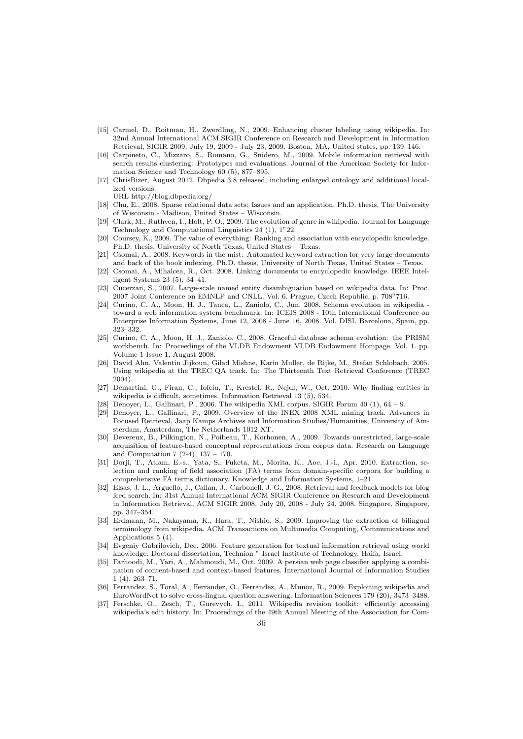- <span id="page-35-7"></span>[15] Carmel, D., Roitman, H., Zwerdling, N., 2009. Enhancing cluster labeling using wikipedia. In: 32nd Annual International ACM SIGIR Conference on Research and Development in Information Retrieval, SIGIR 2009, July 19, 2009 - July 23, 2009. Boston, MA, United states, pp. 139–146.
- <span id="page-35-8"></span>[16] Carpineto, C., Mizzaro, S., Romano, G., Snidero, M., 2009. Mobile information retrieval with search results clustering: Prototypes and evaluations. Journal of the American Society for Information Science and Technology 60 (5), 877–895.
- <span id="page-35-18"></span>[17] ChrisBizer, August 2012. Dbpedia 3.8 released, including enlarged ontology and additional localized versions.

URL<http://blog.dbpedia.org/>

- <span id="page-35-6"></span>[18] Chu, E., 2008. Sparse relational data sets: Issues and an application. Ph.D. thesis, The University of Wisconsin - Madison, United States – Wisconsin.
- <span id="page-35-1"></span>[19] Clark, M., Ruthven, I., Holt, P. O., 2009. The evolution of genre in wikipedia. Journal for Language Technology and Computational Linguistics 24 (1), 1"22.
- <span id="page-35-15"></span>[20] Coursey, K., 2009. The value of everything: Ranking and association with encyclopedic knowledge. Ph.D. thesis, University of North Texas, United States – Texas.
- <span id="page-35-12"></span>[21] Csomai, A., 2008. Keywords in the mist: Automated keyword extraction for very large documents and back of the book indexing. Ph.D. thesis, University of North Texas, United States – Texas.
- <span id="page-35-13"></span>[22] Csomai, A., Mihalcea, R., Oct. 2008. Linking documents to encyclopedic knowledge. IEEE Intelligent Systems 23 (5), 34–41.
- <span id="page-35-10"></span>[23] Cucerzan, S., 2007. Large-scale named entity disambiguation based on wikipedia data. In: Proc. 2007 Joint Conference on EMNLP and CNLL. Vol. 6. Prague, Czech Republic, p. 708"716.
- <span id="page-35-20"></span>[24] Curino, C. A., Moon, H. J., Tanca, L., Zaniolo, C., Jun. 2008. Schema evolution in wikipedia toward a web information system benchmark. In: ICEIS 2008 - 10th International Conference on Enterprise Information Systems, June 12, 2008 - June 16, 2008. Vol. DISI. Barcelona, Spain, pp. 323–332.
- <span id="page-35-19"></span>[25] Curino, C. A., Moon, H. J., Zaniolo, C., 2008. Graceful database schema evolution: the PRISM workbench. In: Proceedings of the VLDB Endowment VLDB Endowment Hompage. Vol. 1. pp. Volume 1 Issue 1, August 2008.
- <span id="page-35-22"></span>[26] David Ahn, Valentin Jijkoun, Gilad Mishne, Karin Muller, de Rijke, M., Stefan Schlobach, 2005. Using wikipedia at the TREC QA track. In: The Thirteenth Text Retrieval Conference (TREC 2004).
- <span id="page-35-11"></span>[27] Demartini, G., Firan, C., Iofciu, T., Krestel, R., Nejdl, W., Oct. 2010. Why finding entities in wikipedia is difficult, sometimes. Information Retrieval 13 (5), 534.
- <span id="page-35-21"></span>[28] Denoyer, L., Gallinari, P., 2006. The wikipedia XML corpus. SIGIR Forum 40 (1), 64 – 9.
- <span id="page-35-4"></span>[29] Denoyer, L., Gallinari, P., 2009. Overview of the INEX 2008 XML mining track. Advances in Focused Retrieval, Jaap Kamps Archives and Information Studies/Humanities, University of Amsterdam, Amsterdam, The Netherlands 1012 XT.
- <span id="page-35-14"></span>[30] Devereux, B., Pilkington, N., Poibeau, T., Korhonen, A., 2009. Towards unrestricted, large-scale acquisition of feature-based conceptual representations from corpus data. Research on Language and Computation 7 (2-4), 137 – 170.
- <span id="page-35-16"></span>[31] Dorji, T., Atlam, E.-s., Yata, S., Fuketa, M., Morita, K., Aoe, J.-i., Apr. 2010. Extraction, selection and ranking of field association (FA) terms from domain-specific corpora for building a comprehensive FA terms dictionary. Knowledge and Information Systems, 1–21.
- <span id="page-35-5"></span>[32] Elsas, J. L., Arguello, J., Callan, J., Carbonell, J. G., 2008. Retrieval and feedback models for blog feed search. In: 31st Annual International ACM SIGIR Conference on Research and Development in Information Retrieval, ACM SIGIR 2008, July 20, 2008 - July 24, 2008. Singapore, Singapore, pp. 347–354.
- <span id="page-35-2"></span>[33] Erdmann, M., Nakayama, K., Hara, T., Nishio, S., 2009. Improving the extraction of bilingual terminology from wikipedia. ACM Transactions on Multimedia Computing, Communications and Applications 5 (4).
- <span id="page-35-0"></span>[34] Evgeniy Gabrilovich, Dec. 2006. Feature generation for textual information retrieval using world knowledge. Doctoral dissertation, Technion " Israel Institute of Technology, Haifa, Israel.
- <span id="page-35-9"></span>[35] Farhoodi, M., Yari, A., Mahmoudi, M., Oct. 2009. A persian web page classifier applying a combination of content-based and context-based features. International Journal of Information Studies 1 (4), 263–71.
- <span id="page-35-3"></span>[36] Ferrandez, S., Toral, A., Ferrandez, O., Ferrandez, A., Munoz, R., 2009. Exploiting wikipedia and EuroWordNet to solve cross-lingual question answering. Information Sciences 179 (20), 3473–3488.
- <span id="page-35-17"></span>[37] Ferschke, O., Zesch, T., Gurevych, I., 2011. Wikipedia revision toolkit: efficiently accessing wikipedia's edit history. In: Proceedings of the 49th Annual Meeting of the Association for Com-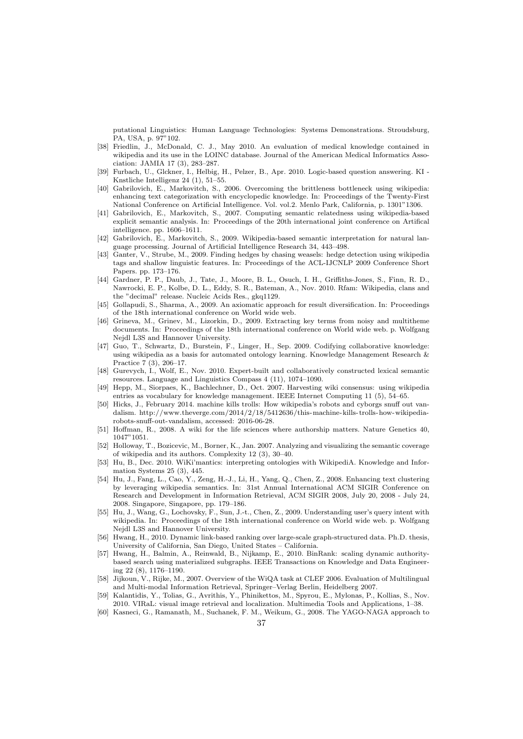putational Linguistics: Human Language Technologies: Systems Demonstrations. Stroudsburg, PA, USA, p. 97"102.

- <span id="page-36-9"></span>[38] Friedlin, J., McDonald, C. J., May 2010. An evaluation of medical knowledge contained in wikipedia and its use in the LOINC database. Journal of the American Medical Informatics Association: JAMIA 17 (3), 283–287.
- <span id="page-36-12"></span>[39] Furbach, U., Glckner, I., Helbig, H., Pelzer, B., Apr. 2010. Logic-based question answering. KI - Knstliche Intelligenz 24 (1), 51–55.
- <span id="page-36-8"></span>[40] Gabrilovich, E., Markovitch, S., 2006. Overcoming the brittleness bottleneck using wikipedia: enhancing text categorization with encyclopedic knowledge. In: Proceedings of the Twenty-First National Conference on Artificial Intelligence. Vol. vol.2. Menlo Park, California, p. 1301"1306.
- <span id="page-36-17"></span>[41] Gabrilovich, E., Markovitch, S., 2007. Computing semantic relatedness using wikipedia-based explicit semantic analysis. In: Proceedings of the 20th international joint conference on Artifical intelligence. pp. 1606–1611.
- <span id="page-36-15"></span>[42] Gabrilovich, E., Markovitch, S., 2009. Wikipedia-based semantic interpretation for natural language processing. Journal of Artificial Intelligence Research 34, 443–498.
- <span id="page-36-11"></span>[43] Ganter, V., Strube, M., 2009. Finding hedges by chasing weasels: hedge detection using wikipedia tags and shallow linguistic features. In: Proceedings of the ACL-IJCNLP 2009 Conference Short Papers. pp. 173–176.
- <span id="page-36-19"></span>[44] Gardner, P. P., Daub, J., Tate, J., Moore, B. L., Osuch, I. H., Griffiths-Jones, S., Finn, R. D., Nawrocki, E. P., Kolbe, D. L., Eddy, S. R., Bateman, A., Nov. 2010. Rfam: Wikipedia, clans and the "decimal" release. Nucleic Acids Res., gkq1129.
- <span id="page-36-5"></span>[45] Gollapudi, S., Sharma, A., 2009. An axiomatic approach for result diversification. In: Proceedings of the 18th international conference on World wide web.
- <span id="page-36-16"></span>[46] Grineva, M., Grinev, M., Lizorkin, D., 2009. Extracting key terms from noisy and multitheme documents. In: Proceedings of the 18th international conference on World wide web. p. Wolfgang Nejdl L3S and Hannover University.
- <span id="page-36-20"></span>[47] Guo, T., Schwartz, D., Burstein, F., Linger, H., Sep. 2009. Codifying collaborative knowledge: using wikipedia as a basis for automated ontology learning. Knowledge Management Research & Practice 7 (3), 206–17.
- <span id="page-36-13"></span>[48] Gurevych, I., Wolf, E., Nov. 2010. Expert-built and collaboratively constructed lexical semantic resources. Language and Linguistics Compass 4 (11), 1074–1090.
- <span id="page-36-18"></span>[49] Hepp, M., Siorpaes, K., Bachlechner, D., Oct. 2007. Harvesting wiki consensus: using wikipedia entries as vocabulary for knowledge management. IEEE Internet Computing 11 (5), 54–65.
- <span id="page-36-22"></span>[50] Hicks, J., February 2014. machine kills trolls: How wikipedia's robots and cyborgs snuff out vandalism. [http://www.theverge.com/2014/2/18/5412636/this-machine-kills-trolls-how-wikipedia](http://www.theverge.com/2014/2/18/5412636/this-machine-kills-trolls-how-wikipedia -robots-snuff-out-vandalism)[robots-snuff-out-vandalism,](http://www.theverge.com/2014/2/18/5412636/this-machine-kills-trolls-how-wikipedia -robots-snuff-out-vandalism) accessed: 2016-06-28.
- <span id="page-36-10"></span>[51] Hoffman, R., 2008. A wiki for the life sciences where authorship matters. Nature Genetics 40, 1047"1051.
- <span id="page-36-14"></span>[52] Holloway, T., Bozicevic, M., Borner, K., Jan. 2007. Analyzing and visualizing the semantic coverage of wikipedia and its authors. Complexity 12 (3), 30–40.
- <span id="page-36-21"></span>[53] Hu, B., Dec. 2010. WiKi'mantics: interpreting ontologies with WikipediA. Knowledge and Information Systems 25 (3), 445.
- <span id="page-36-7"></span>[54] Hu, J., Fang, L., Cao, Y., Zeng, H.-J., Li, H., Yang, Q., Chen, Z., 2008. Enhancing text clustering by leveraging wikipedia semantics. In: 31st Annual International ACM SIGIR Conference on Research and Development in Information Retrieval, ACM SIGIR 2008, July 20, 2008 - July 24, 2008. Singapore, Singapore, pp. 179–186.
- <span id="page-36-1"></span>[55] Hu, J., Wang, G., Lochovsky, F., Sun, J.-t., Chen, Z., 2009. Understanding user's query intent with wikipedia. In: Proceedings of the 18th international conference on World wide web. p. Wolfgang Nejdl L3S and Hannover University.
- <span id="page-36-2"></span>[56] Hwang, H., 2010. Dynamic link-based ranking over large-scale graph-structured data. Ph.D. thesis, University of California, San Diego, United States – California.
- <span id="page-36-6"></span>[57] Hwang, H., Balmin, A., Reinwald, B., Nijkamp, E., 2010. BinRank: scaling dynamic authoritybased search using materialized subgraphs. IEEE Transactions on Knowledge and Data Engineering 22 (8), 1176–1190.
- <span id="page-36-4"></span>[58] Jijkoun, V., Rijke, M., 2007. Overview of the WiQA task at CLEF 2006. Evaluation of Multilingual and Multi-modal Information Retrieval, Springer–Verlag Berlin, Heidelberg 2007.
- <span id="page-36-0"></span>[59] Kalantidis, Y., Tolias, G., Avrithis, Y., Phinikettos, M., Spyrou, E., Mylonas, P., Kollias, S., Nov. 2010. VIRaL: visual image retrieval and localization. Multimedia Tools and Applications, 1–38.
- <span id="page-36-3"></span>[60] Kasneci, G., Ramanath, M., Suchanek, F. M., Weikum, G., 2008. The YAGO-NAGA approach to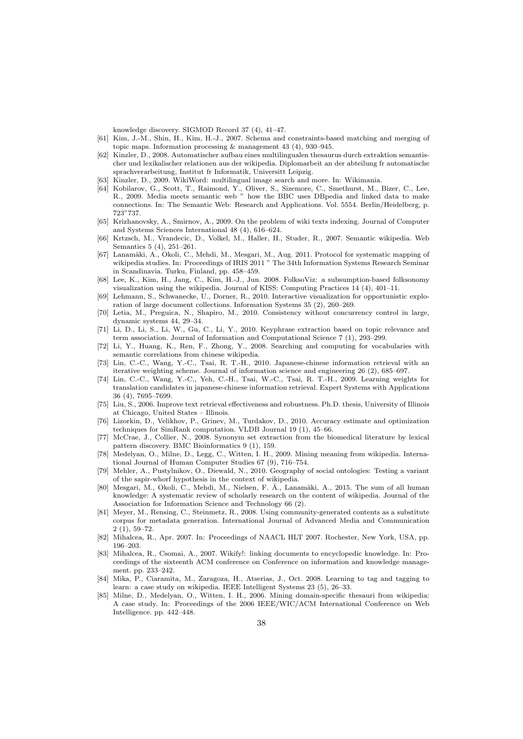knowledge discovery. SIGMOD Record 37 (4), 41–47.

- <span id="page-37-18"></span>[61] Kim, J.-M., Shin, H., Kim, H.-J., 2007. Schema and constraints-based matching and merging of topic maps. Information processing & management 43 (4), 930–945.
- <span id="page-37-3"></span>[62] Kinzler, D., 2008. Automatischer aufbau eines multilingualen thesaurus durch extraktion semantischer und lexikalischer relationen aus der wikipedia. Diplomarbeit an der abteilung fr automatische sprachverarbeitung, Institut fr Informatik, Universitt Leipzig.
- <span id="page-37-4"></span>[63] Kinzler, D., 2009. WikiWord: multilingual image search and more. In: Wikimania.
- <span id="page-37-21"></span>[64] Kobilarov, G., Scott, T., Raimond, Y., Oliver, S., Sizemore, C., Smethurst, M., Bizer, C., Lee, R., 2009. Media meets semantic web " how the BBC uses DBpedia and linked data to make connections. In: The Semantic Web: Research and Applications. Vol. 5554. Berlin/Heidelberg, p. 723"737.
- <span id="page-37-11"></span>[65] Krizhanovsky, A., Smirnov, A., 2009. On the problem of wiki texts indexing. Journal of Computer and Systems Sciences International 48 (4), 616–624.
- <span id="page-37-22"></span>[66] Krtzsch, M., Vrandecic, D., Volkel, M., Haller, H., Studer, R., 2007. Semantic wikipedia. Web Semantics 5 (4), 251–261.
- <span id="page-37-24"></span>[67] Lanamäki, A., Okoli, C., Mehdi, M., Mesgari, M., Aug. 2011. Protocol for systematic mapping of wikipedia studies. In: Proceedings of IRIS 2011 " The 34th Information Systems Research Seminar in Scandinavia. Turku, Finland, pp. 458–459.
- <span id="page-37-10"></span>[68] Lee, K., Kim, H., Jang, C., Kim, H.-J., Jun. 2008. FolksoViz: a subsumption-based folksonomy visualization using the wikipedia. Journal of KISS: Computing Practices 14 (4), 401–11.
- <span id="page-37-20"></span>[69] Lehmann, S., Schwanecke, U., Dorner, R., 2010. Interactive visualization for opportunistic exploration of large document collections. Information Systems 35 (2), 260–269.
- <span id="page-37-23"></span>[70] Letia, M., Preguica, N., Shapiro, M., 2010. Consistency without concurrency control in large, dynamic systems 44, 29–34.
- <span id="page-37-13"></span>[71] Li, D., Li, S., Li, W., Gu, C., Li, Y., 2010. Keyphrase extraction based on topic relevance and term association. Journal of Information and Computational Science 7 (1), 293–299.
- <span id="page-37-14"></span>[72] Li, Y., Huang, K., Ren, F., Zhong, Y., 2008. Searching and computing for vocabularies with semantic correlations from chinese wikipedia.
- <span id="page-37-6"></span>[73] Lin, C.-C., Wang, Y.-C., Tsai, R. T.-H., 2010. Japanese-chinese information retrieval with an iterative weighting scheme. Journal of information science and engineering 26 (2), 685–697.
- <span id="page-37-5"></span>[74] Lin, C.-C., Wang, Y.-C., Yeh, C.-H., Tsai, W.-C., Tsai, R. T.-H., 2009. Learning weights for translation candidates in japanese-chinese information retrieval. Expert Systems with Applications 36 (4), 7695–7699.
- <span id="page-37-2"></span>[75] Liu, S., 2006. Improve text retrieval effectiveness and robustness. Ph.D. thesis, University of Illinois at Chicago, United States – Illinois.
- <span id="page-37-8"></span>[76] Lizorkin, D., Velikhov, P., Grinev, M., Turdakov, D., 2010. Accuracy estimate and optimization techniques for SimRank computation. VLDB Journal 19 (1), 45–66.
- <span id="page-37-19"></span>[77] McCrae, J., Collier, N., 2008. Synonym set extraction from the biomedical literature by lexical pattern discovery. BMC Bioinformatics 9 (1), 159.
- <span id="page-37-1"></span>[78] Medelyan, O., Milne, D., Legg, C., Witten, I. H., 2009. Mining meaning from wikipedia. International Journal of Human Computer Studies 67 (9), 716–754.
- <span id="page-37-17"></span>[79] Mehler, A., Pustylnikov, O., Diewald, N., 2010. Geography of social ontologies: Testing a variant of the sapir-whorf hypothesis in the context of wikipedia.
- <span id="page-37-0"></span>[80] Mesgari, M., Okoli, C., Mehdi, M., Nielsen, F. Å., Lanamäki, A., 2015. The sum of all human knowledge: A systematic review of scholarly research on the content of wikipedia. Journal of the Association for Information Science and Technology 66 (2).
- <span id="page-37-9"></span>[81] Meyer, M., Rensing, C., Steinmetz, R., 2008. Using community-generated contents as a substitute corpus for metadata generation. International Journal of Advanced Media and Communication 2 (1), 59–72.
- <span id="page-37-12"></span>[82] Mihalcea, R., Apr. 2007. In: Proceedings of NAACL HLT 2007. Rochester, New York, USA, pp. 196–203.
- <span id="page-37-16"></span>[83] Mihalcea, R., Csomai, A., 2007. Wikify!: linking documents to encyclopedic knowledge. In: Proceedings of the sixteenth ACM conference on Conference on information and knowledge management. pp. 233–242.
- <span id="page-37-15"></span>[84] Mika, P., Ciaramita, M., Zaragoza, H., Atserias, J., Oct. 2008. Learning to tag and tagging to learn: a case study on wikipedia. IEEE Intelligent Systems 23 (5), 26–33.
- <span id="page-37-7"></span>[85] Milne, D., Medelyan, O., Witten, I. H., 2006. Mining domain-specific thesauri from wikipedia: A case study. In: Proceedings of the 2006 IEEE/WIC/ACM International Conference on Web Intelligence. pp. 442–448.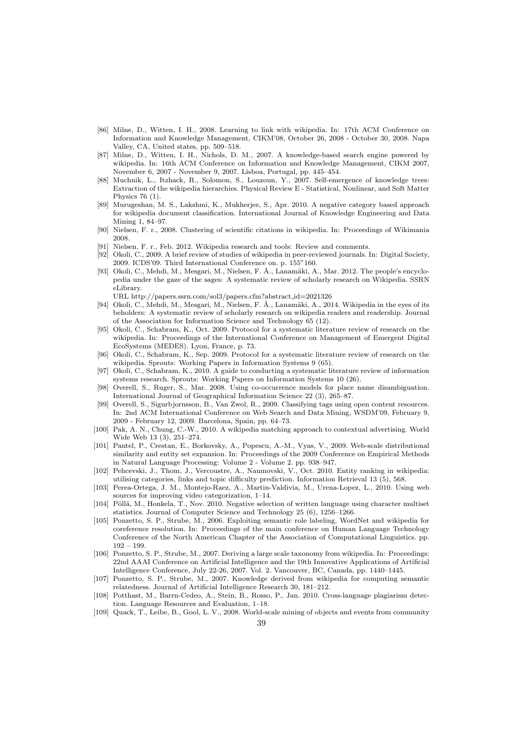- <span id="page-38-15"></span>[86] Milne, D., Witten, I. H., 2008. Learning to link with wikipedia. In: 17th ACM Conference on Information and Knowledge Management, CIKM'08, October 26, 2008 - October 30, 2008. Napa Valley, CA, United states, pp. 509–518.
- <span id="page-38-9"></span>[87] Milne, D., Witten, I. H., Nichols, D. M., 2007. A knowledge-based search engine powered by wikipedia. In: 16th ACM Conference on Information and Knowledge Management, CIKM 2007, November 6, 2007 - November 9, 2007. Lisboa, Portugal, pp. 445–454.
- <span id="page-38-20"></span>[88] Muchnik, L., Itzhack, R., Solomon, S., Louzoun, Y., 2007. Self-emergence of knowledge trees: Extraction of the wikipedia hierarchies. Physical Review E - Statistical, Nonlinear, and Soft Matter Physics 76 (1).
- <span id="page-38-13"></span>[89] Murugeshan, M. S., Lakshmi, K., Mukherjee, S., Apr. 2010. A negative category based approach for wikipedia document classification. International Journal of Knowledge Engineering and Data Mining 1, 84–97.
- <span id="page-38-11"></span>[90] Nielsen, F. r., 2008. Clustering of scientific citations in wikipedia. In: Proceedings of Wikimania 2008.
- <span id="page-38-23"></span>[91] Nielsen, F. r., Feb. 2012. Wikipedia research and tools: Review and comments.
- <span id="page-38-22"></span>[92] Okoli, C., 2009. A brief review of studies of wikipedia in peer-reviewed journals. In: Digital Society, 2009. ICDS'09. Third International Conference on. p. 155"160.
- <span id="page-38-0"></span>[93] Okoli, C., Mehdi, M., Mesgari, M., Nielsen, F. Å., Lanamäki, A., Mar. 2012. The people's encyclopedia under the gaze of the sages: A systematic review of scholarly research on Wikipedia. SSRN eLibrary.
- URL [http://papers.ssrn.com/sol3/papers.cfm?abstract](http://papers.ssrn.com/sol3/papers.cfm?abstract_id=2021326) id=2021326
- <span id="page-38-1"></span>[94] Okoli, C., Mehdi, M., Mesgari, M., Nielsen, F. Å., Lanamäki, A., 2014. Wikipedia in the eyes of its beholders: A systematic review of scholarly research on wikipedia readers and readership. Journal of the Association for Information Science and Technology 65 (12).
- <span id="page-38-3"></span>[95] Okoli, C., Schabram, K., Oct. 2009. Protocol for a systematic literature review of research on the wikipedia. In: Proceedings of the International Conference on Management of Emergent Digital EcoSystems (MEDES). Lyon, France, p. 73.
- <span id="page-38-21"></span>[96] Okoli, C., Schabram, K., Sep. 2009. Protocol for a systematic literature review of research on the wikipedia. Sprouts: Working Papers in Information Systems 9 (65).
- <span id="page-38-2"></span>[97] Okoli, C., Schabram, K., 2010. A guide to conducting a systematic literature review of information systems research. Sprouts: Working Papers on Information Systems 10 (26).
- <span id="page-38-6"></span>[98] Overell, S., Ruger, S., Mar. 2008. Using co-occurrence models for place name disambiguation. International Journal of Geographical Information Science 22 (3), 265–87.
- <span id="page-38-12"></span>[99] Overell, S., Sigurbjornsson, B., Van Zwol, R., 2009. Classifying tags using open content resources. In: 2nd ACM International Conference on Web Search and Data Mining, WSDM'09, February 9, 2009 - February 12, 2009. Barcelona, Spain, pp. 64–73.
- <span id="page-38-14"></span>[100] Pak, A. N., Chung, C.-W., 2010. A wikipedia matching approach to contextual advertising. World Wide Web 13 (3), 251–274.
- <span id="page-38-16"></span>[101] Pantel, P., Crestan, E., Borkovsky, A., Popescu, A.-M., Vyas, V., 2009. Web-scale distributional similarity and entity set expansion. In: Proceedings of the 2009 Conference on Empirical Methods in Natural Language Processing: Volume 2 - Volume 2. pp. 938–947.
- <span id="page-38-10"></span>[102] Pehcevski, J., Thom, J., Vercoustre, A., Naumovski, V., Oct. 2010. Entity ranking in wikipedia: utilising categories, links and topic difficulty prediction. Information Retrieval 13 (5), 568.
- <span id="page-38-4"></span>[103] Perea-Ortega, J. M., Montejo-Raez, A., Martin-Valdivia, M., Urena-Lopez, L., 2010. Using web sources for improving video categorization, 1–14.
- <span id="page-38-8"></span>[104] Pöllä, M., Honkela, T., Nov. 2010. Negative selection of written language using character multiset statistics. Journal of Computer Science and Technology 25 (6), 1256–1266.
- <span id="page-38-19"></span>[105] Ponzetto, S. P., Strube, M., 2006. Exploiting semantic role labeling, WordNet and wikipedia for coreference resolution. In: Proceedings of the main conference on Human Language Technology Conference of the North American Chapter of the Association of Computational Linguistics. pp. 192 – 199.
- <span id="page-38-17"></span>[106] Ponzetto, S. P., Strube, M., 2007. Deriving a large scale taxonomy from wikipedia. In: Proceedings: 22nd AAAI Conference on Artificial Intelligence and the 19th Innovative Applications of Artificial Intelligence Conference, July 22-26, 2007. Vol. 2. Vancouver, BC, Canada, pp. 1440–1445.
- <span id="page-38-18"></span>[107] Ponzetto, S. P., Strube, M., 2007. Knowledge derived from wikipedia for computing semantic relatedness. Journal of Artificial Intelligence Research 30, 181–212.
- <span id="page-38-7"></span>[108] Potthast, M., Barrn-Cedeo, A., Stein, B., Rosso, P., Jan. 2010. Cross-language plagiarism detection. Language Resources and Evaluation, 1–18.
- <span id="page-38-5"></span>[109] Quack, T., Leibe, B., Gool, L. V., 2008. World-scale mining of objects and events from community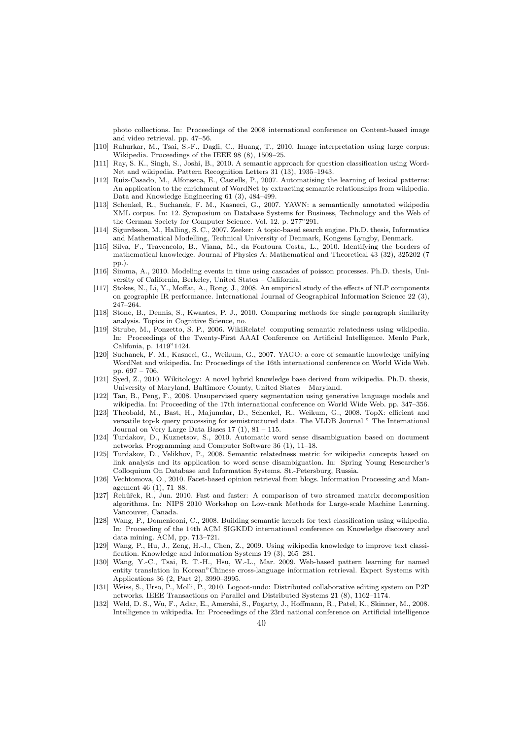photo collections. In: Proceedings of the 2008 international conference on Content-based image and video retrieval. pp. 47–56.

- <span id="page-39-1"></span>[110] Rahurkar, M., Tsai, S.-F., Dagli, C., Huang, T., 2010. Image interpretation using large corpus: Wikipedia. Proceedings of the IEEE 98 (8), 1509–25.
- <span id="page-39-10"></span>[111] Ray, S. K., Singh, S., Joshi, B., 2010. A semantic approach for question classification using Word-Net and wikipedia. Pattern Recognition Letters 31 (13), 1935–1943.
- <span id="page-39-18"></span>[112] Ruiz-Casado, M., Alfonseca, E., Castells, P., 2007. Automatising the learning of lexical patterns: An application to the enrichment of WordNet by extracting semantic relationships from wikipedia. Data and Knowledge Engineering 61 (3), 484–499.
- <span id="page-39-13"></span>[113] Schenkel, R., Suchanek, F. M., Kasneci, G., 2007. YAWN: a semantically annotated wikipedia XML corpus. In: 12. Symposium on Database Systems for Business, Technology and the Web of the German Society for Computer Science. Vol. 12. p. 277"291.
- <span id="page-39-19"></span>[114] Sigurdsson, M., Halling, S. C., 2007. Zeeker: A topic-based search engine. Ph.D. thesis, Informatics and Mathematical Modelling, Technical University of Denmark, Kongens Lyngby, Denmark.
- <span id="page-39-22"></span>[115] Silva, F., Travencolo, B., Viana, M., da Fontoura Costa, L., 2010. Identifying the borders of mathematical knowledge. Journal of Physics A: Mathematical and Theoretical 43 (32), 325202 (7 pp.).
- <span id="page-39-11"></span>[116] Simma, A., 2010. Modeling events in time using cascades of poisson processes. Ph.D. thesis, University of California, Berkeley, United States – California.
- <span id="page-39-2"></span>[117] Stokes, N., Li, Y., Moffat, A., Rong, J., 2008. An empirical study of the effects of NLP components on geographic IR performance. International Journal of Geographical Information Science 22 (3), 247–264.
- <span id="page-39-16"></span>[118] Stone, B., Dennis, S., Kwantes, P. J., 2010. Comparing methods for single paragraph similarity analysis. Topics in Cognitive Science, no.
- <span id="page-39-17"></span>[119] Strube, M., Ponzetto, S. P., 2006. WikiRelate! computing semantic relatedness using wikipedia. In: Proceedings of the Twenty-First AAAI Conference on Artificial Intelligence. Menlo Park, Califonia, p. 1419"1424.
- <span id="page-39-6"></span>[120] Suchanek, F. M., Kasneci, G., Weikum, G., 2007. YAGO: a core of semantic knowledge unifying WordNet and wikipedia. In: Proceedings of the 16th international conference on World Wide Web. pp. 697 – 706.
- <span id="page-39-20"></span>[121] Syed, Z., 2010. Wikitology: A novel hybrid knowledge base derived from wikipedia. Ph.D. thesis, University of Maryland, Baltimore County, United States – Maryland.
- <span id="page-39-5"></span>[122] Tan, B., Peng, F., 2008. Unsupervised query segmentation using generative language models and wikipedia. In: Proceeding of the 17th international conference on World Wide Web. pp. 347–356.
- <span id="page-39-4"></span>[123] Theobald, M., Bast, H., Majumdar, D., Schenkel, R., Weikum, G., 2008. TopX: efficient and versatile top-k query processing for semistructured data. The VLDB Journal " The International Journal on Very Large Data Bases  $17(1)$ ,  $81 - 115$ .
- <span id="page-39-12"></span>[124] Turdakov, D., Kuznetsov, S., 2010. Automatic word sense disambiguation based on document networks. Programming and Computer Software 36 (1), 11–18.
- <span id="page-39-14"></span>[125] Turdakov, D., Velikhov, P., 2008. Semantic relatedness metric for wikipedia concepts based on link analysis and its application to word sense disambiguation. In: Spring Young Researcher's Colloquium On Database and Information Systems. St.-Petersburg, Russia.
- <span id="page-39-0"></span>[126] Vechtomova, O., 2010. Facet-based opinion retrieval from blogs. Information Processing and Management 46 (1), 71–88.
- <span id="page-39-7"></span>[127] Rehũrek, R., Jun. 2010. Fast and faster: A comparison of two streamed matrix decomposition algorithms. In: NIPS 2010 Workshop on Low-rank Methods for Large-scale Machine Learning. Vancouver, Canada.
- <span id="page-39-8"></span>[128] Wang, P., Domeniconi, C., 2008. Building semantic kernels for text classification using wikipedia. In: Proceeding of the 14th ACM SIGKDD international conference on Knowledge discovery and data mining. ACM, pp. 713–721.
- <span id="page-39-9"></span>[129] Wang, P., Hu, J., Zeng, H.-J., Chen, Z., 2009. Using wikipedia knowledge to improve text classification. Knowledge and Information Systems 19 (3), 265–281.
- <span id="page-39-3"></span>[130] Wang, Y.-C., Tsai, R. T.-H., Hsu, W.-L., Mar. 2009. Web-based pattern learning for named entity translation in Korean"Chinese cross-language information retrieval. Expert Systems with Applications 36 (2, Part 2), 3990–3995.
- <span id="page-39-21"></span>[131] Weiss, S., Urso, P., Molli, P., 2010. Logoot-undo: Distributed collaborative editing system on P2P networks. IEEE Transactions on Parallel and Distributed Systems 21 (8), 1162–1174.
- <span id="page-39-15"></span>[132] Weld, D. S., Wu, F., Adar, E., Amershi, S., Fogarty, J., Hoffmann, R., Patel, K., Skinner, M., 2008. Intelligence in wikipedia. In: Proceedings of the 23rd national conference on Artificial intelligence